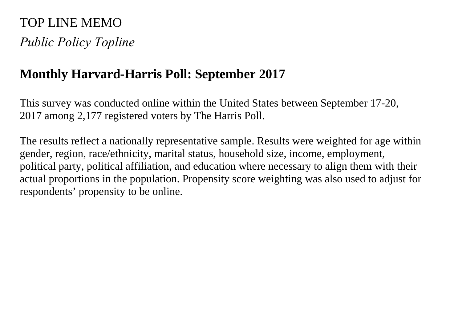# TOP LINE MEMO *Public Policy Topline*

# **Monthly Harvard-Harris Poll: September 2017**

This survey was conducted online within the United States between September 17-20, 2017 among 2,177 registered voters by The Harris Poll.

The results reflect a nationally representative sample. Results were weighted for age within gender, region, race/ethnicity, marital status, household size, income, employment, political party, political affiliation, and education where necessary to align them with their actual proportions in the population. Propensity score weighting was also used to adjust for respondents' propensity to be online.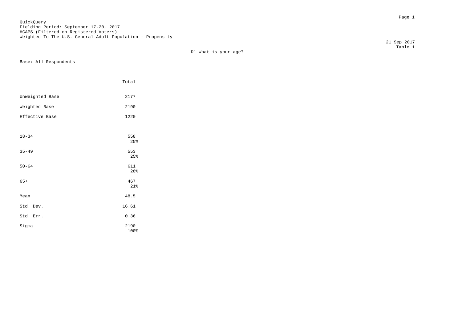Page 1 QuickQuery Fielding Period: September 17-20, 2017 HCAPS (Filtered on Registered Voters) Weighted To The U.S. General Adult Population - Propensity

D1 What is your age?

Base: All Respondents

|                 | Total        |
|-----------------|--------------|
| Unweighted Base | 2177         |
| Weighted Base   | 2190         |
| Effective Base  | 1220         |
|                 |              |
| $18 - 34$       | 558<br>25%   |
| $35 - 49$       | 553<br>25%   |
| $50 - 64$       | 611<br>28%   |
| $65+$           | 467<br>21%   |
| Mean            | 48.5         |
| Std. Dev.       | 16.61        |
| Std. Err.       | 0.36         |
| Sigma           | 2190<br>100% |

 21 Sep 2017 Table 1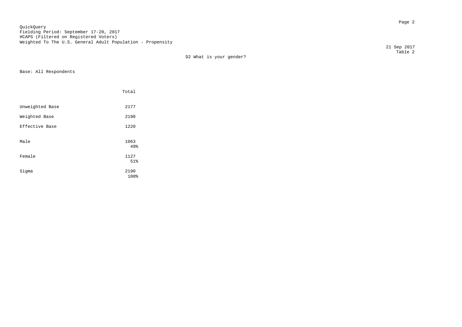en die 19de jaar van die 19de eeu n.C. Soos van die 19de eeu n.C. Soos van die 19de eeu n.C. Soos 2<br>Gebeure QuickQuery Fielding Period: September 17-20, 2017 HCAPS (Filtered on Registered Voters) Weighted To The U.S. General Adult Population - Propensity

D2 What is your gender?

Base: All Respondents

|                 | Total        |  |
|-----------------|--------------|--|
| Unweighted Base | 2177         |  |
| Weighted Base   | 2190         |  |
| Effective Base  | 1220         |  |
| Male            | 1063<br>49%  |  |
| Female          | 1127<br>51%  |  |
| Sigma           | 2190<br>100% |  |

 21 Sep 2017 Table 2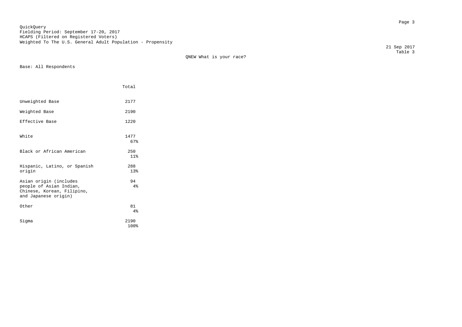en de la provincia de la provincia de la provincia de la provincia de la provincia de la provincia de la provi<br>Desenvolver de la provincia de la provincia de la provincia de la provincia de la provincia de la provincia de QuickQuery Fielding Period: September 17-20, 2017 HCAPS (Filtered on Registered Voters) Weighted To The U.S. General Adult Population - Propensity

QNEW What is your race?

Base: All Respondents

|                                                                                                         | Total        |  |
|---------------------------------------------------------------------------------------------------------|--------------|--|
| Unweighted Base                                                                                         | 2177         |  |
| Weighted Base                                                                                           | 2190         |  |
| Effective Base                                                                                          | 1220         |  |
| White                                                                                                   | 1477<br>67%  |  |
| Black or African American                                                                               | 250<br>11%   |  |
| Hispanic, Latino, or Spanish<br>origin                                                                  | 288<br>13%   |  |
| Asian origin (includes<br>people of Asian Indian,<br>Chinese, Korean, Filipino,<br>and Japanese origin) | 94<br>4%     |  |
| Other                                                                                                   | 81<br>4%     |  |
| Siqma                                                                                                   | 2190<br>100% |  |

 21 Sep 2017 Table 3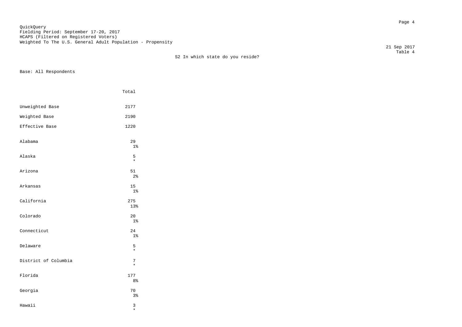Page 4 QuickQuery Fielding Period: September 17-20, 2017 HCAPS (Filtered on Registered Voters) Weighted To The U.S. General Adult Population - Propensity

21 Sep 2017

 Table 4 S2 In which state do you reside?

Base: All Respondents

|                      | Total                 |
|----------------------|-----------------------|
| Unweighted Base      | 2177                  |
| Weighted Base        | 2190                  |
| Effective Base       | 1220                  |
| Alabama              | 29<br>$1\%$           |
| Alaska               | 5<br>$\star$          |
| Arizona              | 51<br>2 <sup>°</sup>  |
| Arkansas             | 15<br>$1\%$           |
| California           | 275<br>13%            |
| Colorado             | 20<br>$1\%$           |
| Connecticut          | 24<br>$1\%$           |
| Delaware             | 5<br>$\star$          |
| District of Columbia | 7<br>$\star$          |
| Florida              | 177<br>8 <sup>°</sup> |
| Georgia              | 70<br>3%              |
| Hawaii               | 3                     |

\*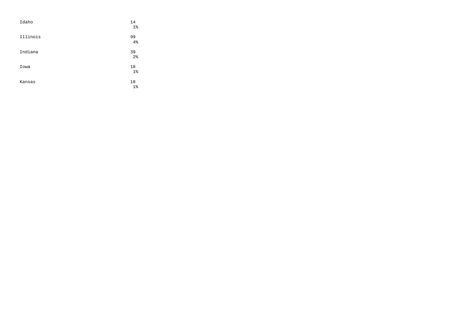| Idaho    | 14<br>$1\%$          |
|----------|----------------------|
| Illinois | 99<br>4%             |
| Indiana  | 39<br>2 <sup>°</sup> |
| Iowa     | 18<br>$1\%$          |
| Kansas   | 18<br>$1\%$          |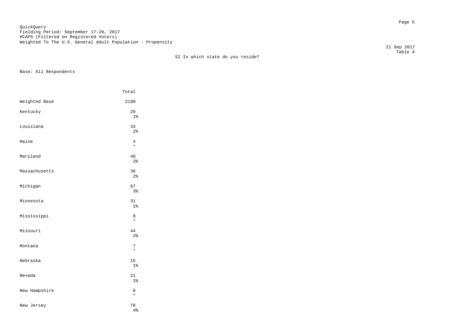en die staatsland van die stad van die stad van die stad van die stad van die stad van die stad van die stad v<br>Die stad van die stad van die stad van die stad van die stad van die stad van die stad van die stad van die st QuickQuery Fielding Period: September 17-20, 2017 HCAPS (Filtered on Registered Voters) Weighted To The U.S. General Adult Population - Propensity

 Table 4 S2 In which state do you reside?

Base: All Respondents

|               | Total                |
|---------------|----------------------|
| Weighted Base | 2190                 |
| Kentucky      | 20<br>$1\%$          |
| Louisiana     | 33<br>2 <sup>°</sup> |
| Maine         | 4<br>$\star$         |
| Maryland      | 40<br>$2\,$          |
| Massachusetts | 36<br>$2\frac{6}{9}$ |
| Michigan      | 67<br>3%             |
| Minnesota     | 31<br>1 <sup>°</sup> |
| Mississippi   | 8<br>$\star$         |
| Missouri      | 44<br>2 <sup>°</sup> |
| Montana       | 7<br>$\star$         |
| Nebraska      | 15<br>1 <sup>°</sup> |
| Nevada        | 21<br>1%             |
| New Hampshire | 8<br>$\star$         |
| New Jersey    | 78<br>4%             |

21 Sep 2017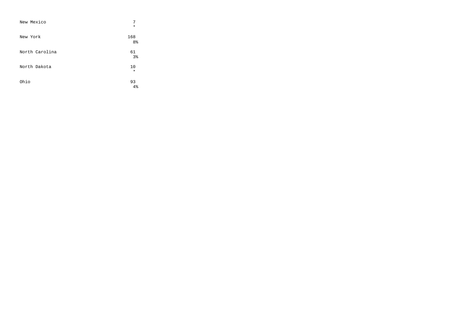| New Mexico     | 7<br>$\star$         |
|----------------|----------------------|
| New York       | 168<br>8%            |
| North Carolina | 61<br>3 <sup>°</sup> |
| North Dakota   | 10<br>$\star$        |
| Ohio           | 93<br>$4\%$          |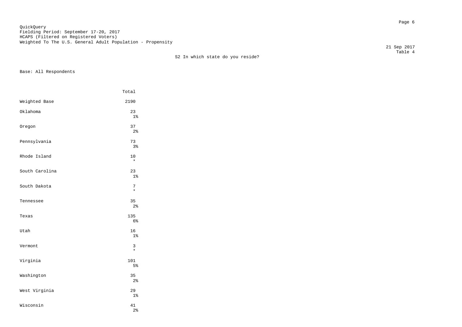Page 6 QuickQuery Fielding Period: September 17-20, 2017 HCAPS (Filtered on Registered Voters) Weighted To The U.S. General Adult Population - Propensity

 Table 4 S2 In which state do you reside?

Base: All Respondents

|                | Total                |
|----------------|----------------------|
| Weighted Base  | 2190                 |
| Oklahoma       | 23<br>1%             |
| Oregon         | 37<br>2 <sup>°</sup> |
| Pennsylvania   | 73<br>3%             |
| Rhode Island   | 10<br>$\star$        |
| South Carolina | 23<br>1%             |
| South Dakota   | 7<br>$\star$         |
| Tennessee      | 35<br>$2\,$          |
| Texas          | 135<br>6%            |
| Utah           | 16<br>1 <sup>°</sup> |
| Vermont        | 3<br>$\star$         |
| Virginia       | 101<br>5%            |
| Washington     | 35<br>$2\,$          |
| West Virginia  | 29<br>$1\%$          |
| Wisconsin      | 41<br>2 <sup>°</sup> |

21 Sep 2017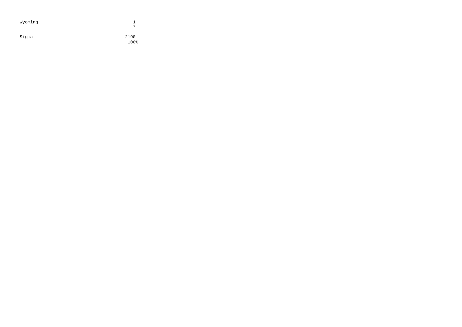| Wyoming | $\ast$       |
|---------|--------------|
| Sigma   | 2190<br>100% |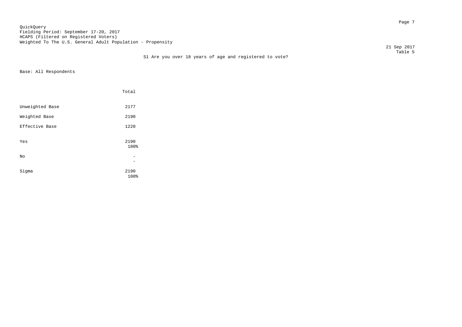en de la provincia de la provincia de la provincia de la provincia de la provincia de la provincia de la provi<br>Page 7 QuickQuery Fielding Period: September 17-20, 2017 HCAPS (Filtered on Registered Voters) Weighted To The U.S. General Adult Population - Propensity

 21 Sep 2017 Table 5

| S1 Are you over 18 years of age and registered to vote? |
|---------------------------------------------------------|
|---------------------------------------------------------|

|                 | Total        |  |
|-----------------|--------------|--|
| Unweighted Base | 2177         |  |
| Weighted Base   | 2190         |  |
| Effective Base  | 1220         |  |
| Yes             | 2190<br>100% |  |
| No              |              |  |
| Sigma           | 2190<br>100% |  |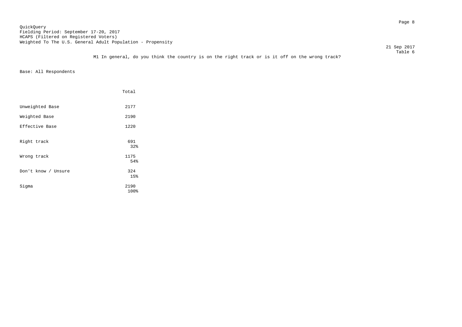en de la provincia de la provincia de la provincia de la provincia de la provincia de la provincia de la provi<br>Page 8 QuickQuery Fielding Period: September 17-20, 2017 HCAPS (Filtered on Registered Voters) Weighted To The U.S. General Adult Population - Propensity

 21 Sep 2017 Table 6

M1 In general, do you think the country is on the right track or is it off on the wrong track?

|                     | Total        |
|---------------------|--------------|
| Unweighted Base     | 2177         |
| Weighted Base       | 2190         |
| Effective Base      | 1220         |
| Right track         | 691<br>32%   |
| Wrong track         | 1175<br>54%  |
| Don't know / Unsure | 324<br>15%   |
| Sigma               | 2190<br>100% |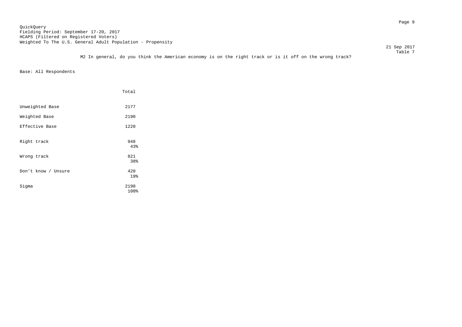Page 9 QuickQuery Fielding Period: September 17-20, 2017 HCAPS (Filtered on Registered Voters) Weighted To The U.S. General Adult Population - Propensity

21 Sep 2017

 Table 7 M2 In general, do you think the American economy is on the right track or is it off on the wrong track?

|                     | Total             |
|---------------------|-------------------|
| Unweighted Base     | 2177              |
| Weighted Base       | 2190              |
| Effective Base      | 1220              |
| Right track         | 948<br>43%        |
| Wrong track         | 821               |
| Don't know / Unsure | 38%<br>420<br>19% |
| Sigma               | 2190<br>100%      |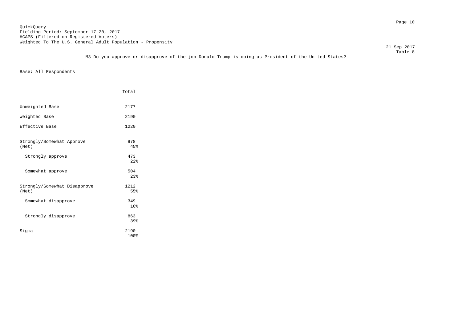21 Sep 2017

 Table 8 M3 Do you approve or disapprove of the job Donald Trump is doing as President of the United States?

|                                       | Total        |
|---------------------------------------|--------------|
| Unweighted Base                       | 2177         |
| Weighted Base                         | 2190         |
| Effective Base                        | 1220         |
| Strongly/Somewhat Approve<br>(Net)    | 978<br>45%   |
| Strongly approve                      | 473<br>2.2%  |
| Somewhat approve                      | 504<br>2.3%  |
| Strongly/Somewhat Disapprove<br>(Net) | 1212<br>55%  |
| Somewhat disapprove                   | 349<br>16%   |
| Strongly disapprove                   | 863<br>39%   |
| Sigma                                 | 2190<br>100% |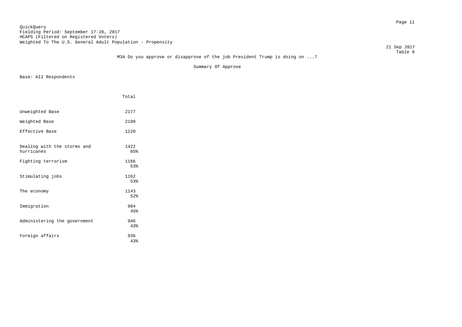## Page 11 QuickQuery Fielding Period: September 17-20, 2017 HCAPS (Filtered on Registered Voters) Weighted To The U.S. General Adult Population - Propensity

21 Sep 2017

#### Table 9 M3A Do you approve or disapprove of the job President Trump is doing on ...?

Summary Of Approve

|                                           | Total       |
|-------------------------------------------|-------------|
| Unweighted Base                           | 2177        |
| Weighted Base                             | 2190        |
| Effective Base                            | 1220        |
| Dealing with the storms and<br>hurricanes | 1422<br>65% |
| Fighting terrorism                        | 1166<br>53% |
| Stimulating jobs                          | 1162<br>53% |
| The economy                               | 1143<br>52% |
| Immigration                               | 984<br>45%  |
| Administering the government              | 946<br>43%  |
| Foreign affairs                           | 936<br>4.3% |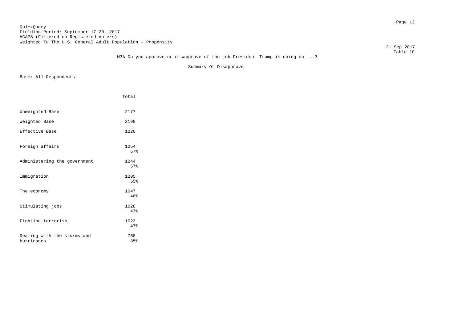## Page 12 QuickQuery Fielding Period: September 17-20, 2017 HCAPS (Filtered on Registered Voters) Weighted To The U.S. General Adult Population - Propensity

21 Sep 2017

#### Table 10 M3A Do you approve or disapprove of the job President Trump is doing on ...?

Summary Of Disapprove

|                                           | Total       |  |
|-------------------------------------------|-------------|--|
| Unweighted Base                           | 2177        |  |
| Weighted Base                             | 2190        |  |
| Effective Base                            | 1220        |  |
| Foreign affairs                           | 1254<br>57% |  |
| Administering the government              | 1244<br>57% |  |
| Immigration                               | 1205<br>55% |  |
| The economy                               | 1047<br>48% |  |
| Stimulating jobs                          | 1028<br>47% |  |
| Fighting terrorism                        | 1023<br>47% |  |
| Dealing with the storms and<br>hurricanes | 768<br>35%  |  |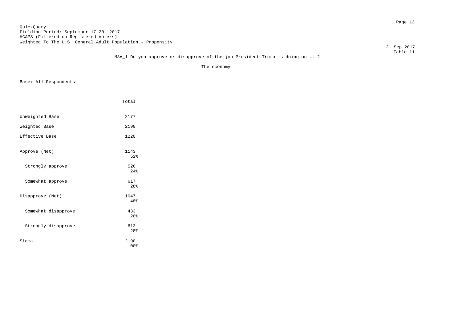## Page 13 QuickQuery Fielding Period: September 17-20, 2017 HCAPS (Filtered on Registered Voters) Weighted To The U.S. General Adult Population - Propensity

21 Sep 2017

#### Table 11 M3A\_1 Do you approve or disapprove of the job President Trump is doing on ...?

The economy

|                     | Total             |
|---------------------|-------------------|
|                     |                   |
| Unweighted Base     | 2177              |
| Weighted Base       | 2190              |
| Effective Base      | 1220              |
|                     |                   |
| Approve (Net)       | 1143              |
|                     | 52%               |
| Strongly approve    | 526               |
|                     | 24%               |
| Somewhat approve    | 617               |
|                     | 28 <sup>8</sup>   |
| Disapprove (Net)    | 1047              |
|                     | 48%               |
| Somewhat disapprove | 433               |
|                     | $20$ <sup>2</sup> |
| Strongly disapprove | 613               |
|                     | 28%               |
| Sigma               | 2190              |
|                     | 100%              |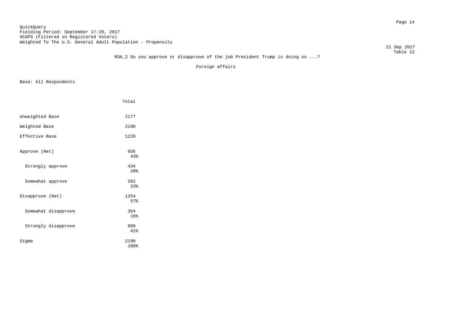## Page 14 QuickQuery Fielding Period: September 17-20, 2017 HCAPS (Filtered on Registered Voters) Weighted To The U.S. General Adult Population - Propensity

21 Sep 2017

#### Table 12 M3A\_2 Do you approve or disapprove of the job President Trump is doing on ...?

Foreign affairs

|                     | Total                  |
|---------------------|------------------------|
|                     |                        |
| Unweighted Base     | 2177                   |
| Weighted Base       | 2190                   |
| Effective Base      | 1220                   |
|                     |                        |
| Approve (Net)       | 936<br>4.3%            |
| Strongly approve    | 434                    |
|                     | 20 <sup>8</sup>        |
| Somewhat approve    | 502                    |
|                     | 2.3%                   |
| Disapprove (Net)    | 1254<br>57%            |
|                     |                        |
| Somewhat disapprove | 354<br>16 <sup>°</sup> |
| Strongly disapprove | 899                    |
|                     | 41%                    |
| Sigma               | 2190                   |
|                     | 100%                   |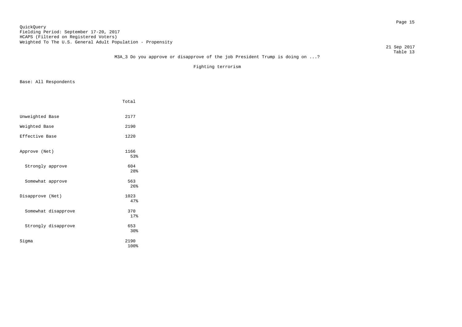## Page 15 QuickQuery Fielding Period: September 17-20, 2017 HCAPS (Filtered on Registered Voters) Weighted To The U.S. General Adult Population - Propensity

21 Sep 2017

#### Table 13 M3A\_3 Do you approve or disapprove of the job President Trump is doing on ...?

Fighting terrorism

|                     | Total        |
|---------------------|--------------|
|                     |              |
| Unweighted Base     | 2177         |
| Weighted Base       | 2190         |
| Effective Base      | 1220         |
|                     |              |
| Approve (Net)       | 1166<br>53%  |
| Strongly approve    | 604          |
|                     | 28%          |
| Somewhat approve    | 563          |
|                     | 26%          |
| Disapprove (Net)    | 1023<br>47%  |
|                     |              |
| Somewhat disapprove | 370<br>17%   |
|                     |              |
| Strongly disapprove | 653<br>30%   |
|                     |              |
| Sigma               | 2190<br>100% |
|                     |              |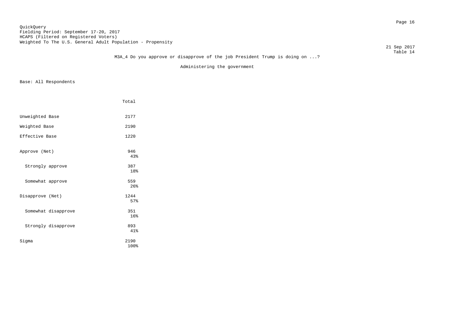## Page 16 QuickQuery Fielding Period: September 17-20, 2017 HCAPS (Filtered on Registered Voters) Weighted To The U.S. General Adult Population - Propensity

21 Sep 2017

#### Table 14 M3A\_4 Do you approve or disapprove of the job President Trump is doing on ...?

Administering the government

|                     | Total                  |
|---------------------|------------------------|
| Unweighted Base     | 2177                   |
| Weighted Base       | 2190                   |
| Effective Base      | 1220                   |
| Approve (Net)       | 946<br>43%             |
| Strongly approve    | 387<br>18%             |
| Somewhat approve    | 559<br>26%             |
| Disapprove (Net)    | 1244<br>57%            |
| Somewhat disapprove | 351<br>16 <sup>°</sup> |
| Strongly disapprove | 893<br>41%             |
| Sigma               | 2190<br>100%           |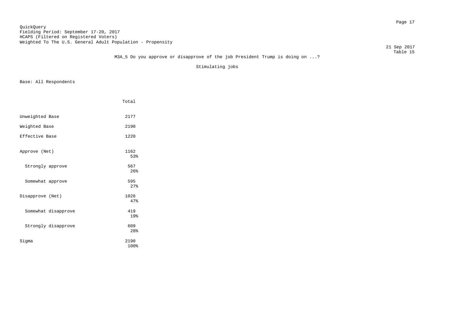## Page 17 QuickQuery Fielding Period: September 17-20, 2017 HCAPS (Filtered on Registered Voters) Weighted To The U.S. General Adult Population - Propensity

21 Sep 2017

#### Table 15 M3A\_5 Do you approve or disapprove of the job President Trump is doing on ...?

Stimulating jobs

|                     | Total        |
|---------------------|--------------|
|                     |              |
| Unweighted Base     | 2177         |
| Weighted Base       | 2190         |
| Effective Base      | 1220         |
|                     |              |
| Approve (Net)       | 1162         |
|                     | 53%          |
| Strongly approve    | 567          |
|                     | 26%          |
| Somewhat approve    | 595          |
|                     | 27%          |
| Disapprove (Net)    | 1028         |
|                     | 47%          |
| Somewhat disapprove | 419          |
|                     | 19%          |
| Strongly disapprove | 609          |
|                     | 28%          |
|                     |              |
| Sigma               | 2190<br>100% |
|                     |              |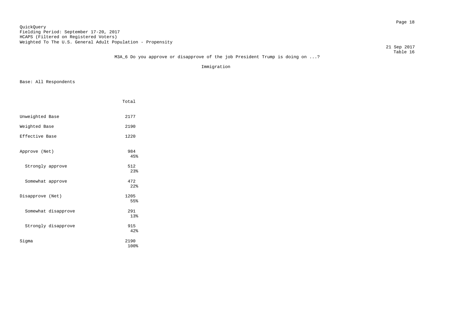## Page 18 QuickQuery Fielding Period: September 17-20, 2017 HCAPS (Filtered on Registered Voters) Weighted To The U.S. General Adult Population - Propensity

21 Sep 2017

#### Table 16 M3A\_6 Do you approve or disapprove of the job President Trump is doing on ...?

Immigration

|                     | Total        |
|---------------------|--------------|
|                     |              |
| Unweighted Base     | 2177         |
| Weighted Base       | 2190         |
| Effective Base      | 1220         |
| Approve (Net)       | 984<br>4.5%  |
| Strongly approve    | 512<br>23%   |
| Somewhat approve    | 472<br>2.2%  |
| Disapprove (Net)    | 1205<br>55%  |
| Somewhat disapprove | 291<br>13%   |
| Strongly disapprove | 915<br>42%   |
| Sigma               | 2190<br>100% |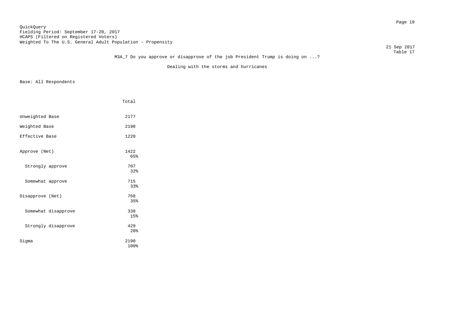## Page 19 QuickQuery Fielding Period: September 17-20, 2017 HCAPS (Filtered on Registered Voters) Weighted To The U.S. General Adult Population - Propensity

21 Sep 2017

#### Table 17 M3A\_7 Do you approve or disapprove of the job President Trump is doing on ...?

Dealing with the storms and hurricanes

|                     | Total |
|---------------------|-------|
| Unweighted Base     | 2177  |
|                     |       |
| Weighted Base       | 2190  |
| Effective Base      | 1220  |
| Approve (Net)       | 1422  |
|                     | 65%   |
| Strongly approve    | 707   |
|                     | 32%   |
| Somewhat approve    | 715   |
|                     | 33%   |
| Disapprove (Net)    | 768   |
|                     | 35%   |
| Somewhat disapprove | 338   |
|                     | 15%   |
| Strongly disapprove | 429   |
|                     | 20%   |
| Sigma               | 2190  |
|                     | 100%  |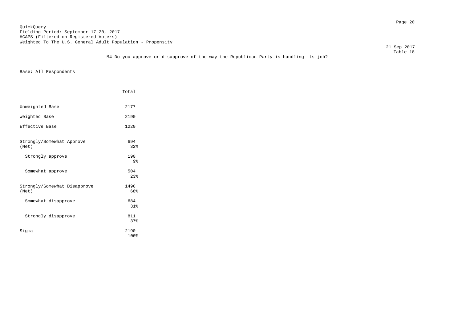Page 20 QuickQuery Fielding Period: September 17-20, 2017 HCAPS (Filtered on Registered Voters) Weighted To The U.S. General Adult Population - Propensity

21 Sep 2017

 Table 18 M4 Do you approve or disapprove of the way the Republican Party is handling its job?

|                                       | Total        |
|---------------------------------------|--------------|
| Unweighted Base                       | 2177         |
| Weighted Base                         | 2190         |
| Effective Base                        | 1220         |
| Strongly/Somewhat Approve<br>(Net)    | 694<br>32%   |
| Strongly approve                      | 190<br>9%    |
| Somewhat approve                      | 504<br>2.3%  |
| Strongly/Somewhat Disapprove<br>(Net) | 1496<br>68%  |
| Somewhat disapprove                   | 684<br>31%   |
| Strongly disapprove                   | 811<br>37%   |
| Sigma                                 | 2190<br>100% |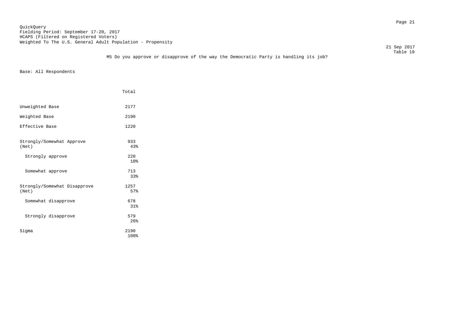Page 21 QuickQuery Fielding Period: September 17-20, 2017 HCAPS (Filtered on Registered Voters) Weighted To The U.S. General Adult Population - Propensity

21 Sep 2017

|                                                                                      | Table 19 |
|--------------------------------------------------------------------------------------|----------|
| M5 Do you approve or disapprove of the way the Democratic Party is handling its job? |          |

|                                       | Total                  |
|---------------------------------------|------------------------|
| Unweighted Base                       | 2177                   |
| Weighted Base                         | 2190                   |
| Effective Base                        | 1220                   |
| Strongly/Somewhat Approve<br>(Net)    | 933<br>43%             |
| Strongly approve                      | 220<br>10 <sup>8</sup> |
| Somewhat approve                      | 713<br>33%             |
| Strongly/Somewhat Disapprove<br>(Net) | 1257<br>57%            |
| Somewhat disapprove                   | 678<br>31%             |
| Strongly disapprove                   | 579<br>26%             |
| Siqma                                 | 2190<br>100%           |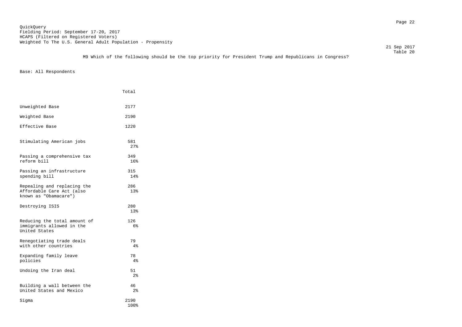M9 Which of the following should be the top priority for President Trump and Republicans in Congress?

|                                                                                   | Total                |
|-----------------------------------------------------------------------------------|----------------------|
| Unweighted Base                                                                   | 2177                 |
| Weighted Base                                                                     | 2190                 |
| Effective Base                                                                    | 1220                 |
| Stimulating American jobs                                                         | 581<br>27%           |
| Passing a comprehensive tax<br>reform bill                                        | 349<br>16%           |
| Passing an infrastructure<br>spending bill                                        | 315<br>14%           |
| Repealing and replacing the<br>Affordable Care Act (also<br>known as "Obamacare") | 286<br>13%           |
| Destroying ISIS                                                                   | 280<br>13%           |
| Reducing the total amount of<br>immigrants allowed in the<br>United States        | 126<br>6%            |
| Renegotiating trade deals<br>with other countries                                 | 79<br>4%             |
| Expanding family leave<br>policies                                                | 78<br>4%             |
| Undoing the Iran deal                                                             | 51<br>2 <sub>8</sub> |
| Building a wall between the<br>United States and Mexico                           | 46<br>2 <sup>°</sup> |
| Siqma                                                                             | 2190<br>100%         |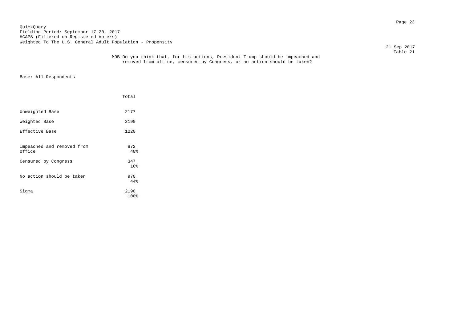Page 23 QuickQuery Fielding Period: September 17-20, 2017 HCAPS (Filtered on Registered Voters) Weighted To The U.S. General Adult Population - Propensity

21 Sep 2017

|                                      | Total                  |
|--------------------------------------|------------------------|
| Unweighted Base                      | 2177                   |
| Weighted Base                        | 2190                   |
| Effective Base                       | 1220                   |
| Impeached and removed from<br>office | 872<br>40%             |
| Censured by Congress                 | 347<br>16 <sup>°</sup> |
| No action should be taken            | 970<br>44%             |
| Sigma                                | 2190<br>100%           |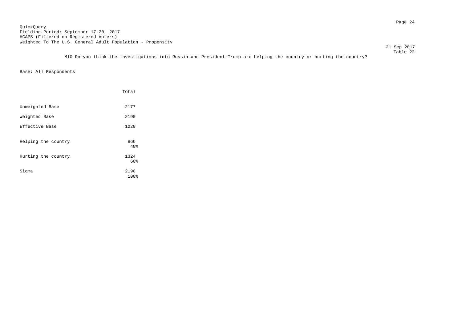Page 24 QuickQuery Fielding Period: September 17-20, 2017 HCAPS (Filtered on Registered Voters) Weighted To The U.S. General Adult Population - Propensity

21 Sep 2017

 Table 22 M10 Do you think the investigations into Russia and President Trump are helping the country or hurting the country?

|                     | Total                  |
|---------------------|------------------------|
| Unweighted Base     | 2177                   |
| Weighted Base       | 2190                   |
| Effective Base      | 1220                   |
| Helping the country | 866<br>40 <sub>8</sub> |
| Hurting the country | 1324<br>60%            |
| Sigma               | 2190<br>100%           |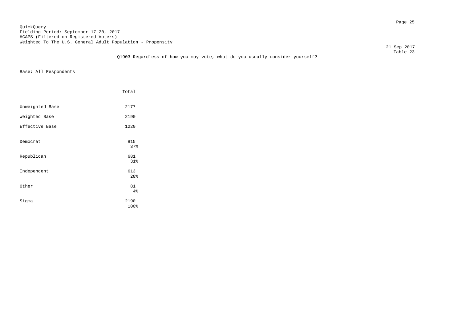## Page 25 QuickQuery Fielding Period: September 17-20, 2017 HCAPS (Filtered on Registered Voters) Weighted To The U.S. General Adult Population - Propensity

21 Sep 2017

|                                                                              |  | Table 23 |
|------------------------------------------------------------------------------|--|----------|
| Q1903 Regardless of how you may vote, what do you usually consider yourself? |  |          |

|                 | Total        |
|-----------------|--------------|
| Unweighted Base | 2177         |
| Weighted Base   | 2190         |
| Effective Base  | 1220         |
| Democrat        | 815<br>37%   |
| Republican      | 681<br>31%   |
| Independent     | 613<br>28%   |
| Other           | 81<br>4%     |
| Sigma           | 2190<br>100% |
|                 |              |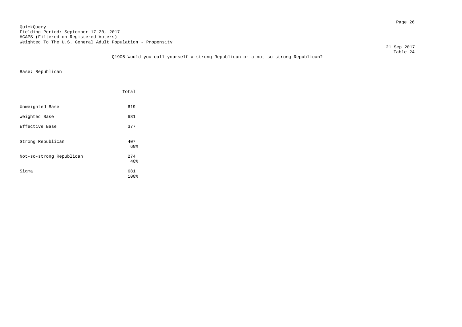Page 26 QuickQuery Fielding Period: September 17-20, 2017 HCAPS (Filtered on Registered Voters) Weighted To The U.S. General Adult Population - Propensity

21 Sep 2017

 Table 24 Q1905 Would you call yourself a strong Republican or a not-so-strong Republican?

Base: Republican

|                          | Total       |  |
|--------------------------|-------------|--|
| Unweighted Base          | 619         |  |
| Weighted Base            | 681         |  |
| Effective Base           | 377         |  |
| Strong Republican        | 407<br>60%  |  |
| Not-so-strong Republican | 274<br>40%  |  |
| Sigma                    | 681<br>100% |  |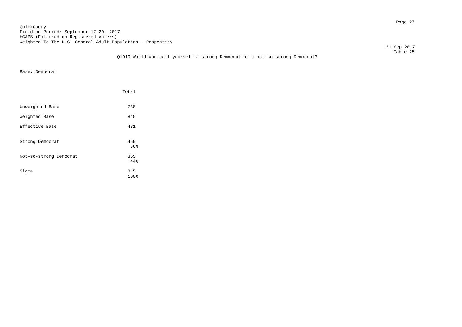## Page 27 QuickQuery Fielding Period: September 17-20, 2017 HCAPS (Filtered on Registered Voters) Weighted To The U.S. General Adult Population - Propensity

21 Sep 2017

#### Table 25 Q1910 Would you call yourself a strong Democrat or a not-so-strong Democrat?

Base: Democrat

|                        | Total       |
|------------------------|-------------|
| Unweighted Base        | 738         |
| Weighted Base          | 815         |
| Effective Base         | 431         |
| Strong Democrat        | 459<br>56%  |
| Not-so-strong Democrat | 355<br>44%  |
| Sigma                  | 815<br>100% |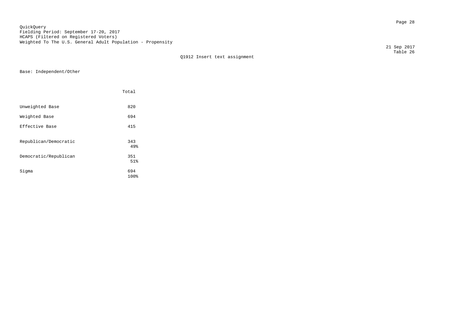Page 28 QuickQuery Fielding Period: September 17-20, 2017 HCAPS (Filtered on Registered Voters) Weighted To The U.S. General Adult Population - Propensity

 Table 26 Q1912 Insert text assignment

Base: Independent/Other

|                       | Total       |
|-----------------------|-------------|
| Unweighted Base       | 820         |
| Weighted Base         | 694         |
| Effective Base        | 415         |
| Republican/Democratic | 343<br>49%  |
| Democratic/Republican | 351<br>51%  |
| Sigma                 | 694<br>100% |

21 Sep 2017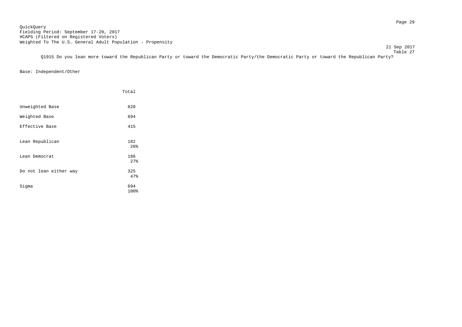21 Sep 2017

 Table 27 Q1915 Do you lean more toward the Republican Party or toward the Democratic Party/the Democratic Party or toward the Republican Party?

Base: Independent/Other

|                        | Total       |
|------------------------|-------------|
| Unweighted Base        | 820         |
| Weighted Base          | 694         |
| Effective Base         | 415         |
| Lean Republican        | 182<br>26%  |
| Lean Democrat          | 186<br>27%  |
| Do not lean either way | 325<br>47%  |
| Sigma                  | 694<br>100% |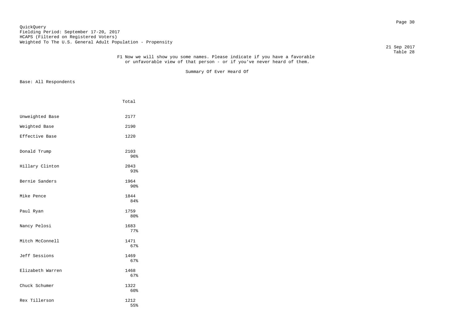## Page 30 QuickQuery Fielding Period: September 17-20, 2017 HCAPS (Filtered on Registered Voters) Weighted To The U.S. General Adult Population - Propensity

21 Sep 2017

#### Table 28 F1 Now we will show you some names. Please indicate if you have a favorable or unfavorable view of that person - or if you've never heard of them.

Summary Of Ever Heard Of

|                  | Total                   |
|------------------|-------------------------|
| Unweighted Base  | 2177                    |
| Weighted Base    | 2190                    |
| Effective Base   | 1220                    |
| Donald Trump     | 2103<br>96%             |
| Hillary Clinton  | 2043<br>93%             |
| Bernie Sanders   | 1964<br>90 <sup>8</sup> |
| Mike Pence       | 1844<br>84%             |
| Paul Ryan        | 1759<br>80 <sub>8</sub> |
| Nancy Pelosi     | 1683<br>77%             |
| Mitch McConnell  | 1471<br>67%             |
| Jeff Sessions    | 1469<br>67%             |
| Elizabeth Warren | 1468<br>67%             |
| Chuck Schumer    | 1322<br>60%             |
| Rex Tillerson    | 1212<br>55%             |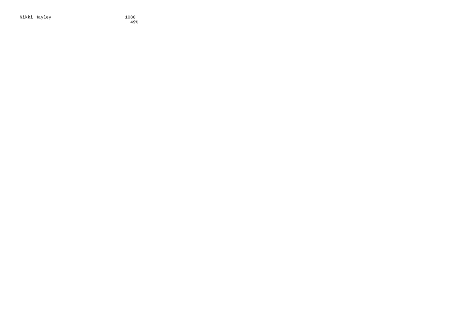Nikki Hayley

 $1080$ <br> $49%$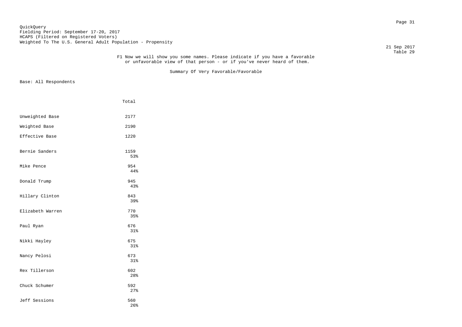## Page 31 QuickQuery Fielding Period: September 17-20, 2017 HCAPS (Filtered on Registered Voters) Weighted To The U.S. General Adult Population - Propensity

21 Sep 2017

#### Table 29 F1 Now we will show you some names. Please indicate if you have a favorable or unfavorable view of that person - or if you've never heard of them.

Summary Of Very Favorable/Favorable

|                  | Total       |
|------------------|-------------|
| Unweighted Base  | 2177        |
| Weighted Base    | 2190        |
| Effective Base   | 1220        |
| Bernie Sanders   | 1159<br>53% |
| Mike Pence       | 954<br>44%  |
| Donald Trump     | 945<br>43%  |
| Hillary Clinton  | 843<br>39%  |
| Elizabeth Warren | 770<br>35%  |
| Paul Ryan        | 676<br>31%  |
| Nikki Hayley     | 675<br>31%  |
| Nancy Pelosi     | 673<br>31%  |
| Rex Tillerson    | 602<br>28%  |
| Chuck Schumer    | 592<br>27%  |
| Jeff Sessions    | 560<br>26%  |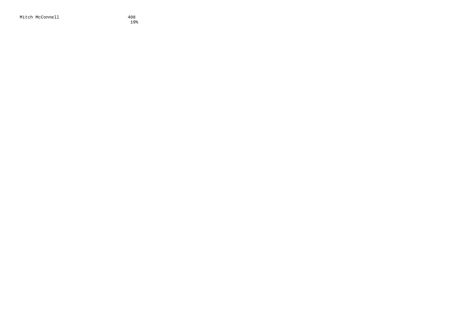Mitch McConnell 408<br>19%

19%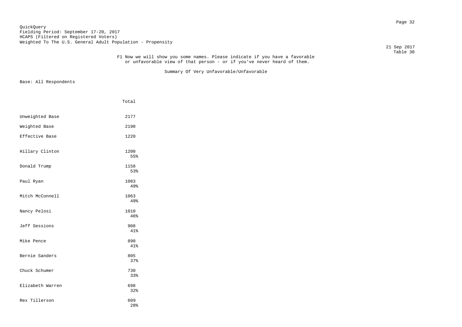# Page 32 QuickQuery Fielding Period: September 17-20, 2017 HCAPS (Filtered on Registered Voters) Weighted To The U.S. General Adult Population - Propensity

21 Sep 2017

#### Table 30 F1 Now we will show you some names. Please indicate if you have a favorable or unfavorable view of that person - or if you've never heard of them.

Summary Of Very Unfavorable/Unfavorable

|                  | Total       |
|------------------|-------------|
| Unweighted Base  | 2177        |
| Weighted Base    | 2190        |
| Effective Base   | 1220        |
| Hillary Clinton  | 1200<br>55% |
| Donald Trump     | 1158<br>53% |
| Paul Ryan        | 1083<br>49% |
| Mitch McConnell  | 1063<br>49% |
| Nancy Pelosi     | 1010<br>46% |
| Jeff Sessions    | 908<br>41%  |
| Mike Pence       | 890<br>41%  |
| Bernie Sanders   | 805<br>37%  |
| Chuck Schumer    | 730<br>33%  |
| Elizabeth Warren | 698<br>32%  |
| Rex Tillerson    | 609<br>28%  |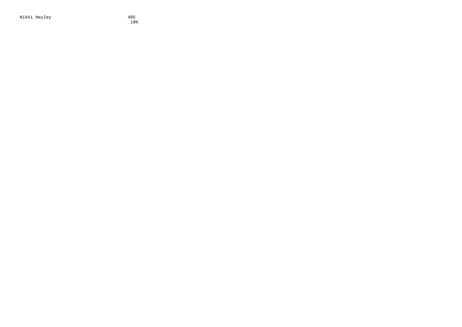Nikki Hayley 198

19%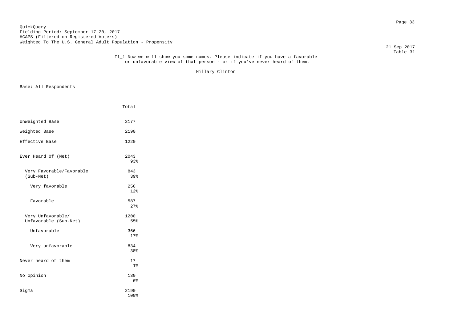21 Sep 2017

### Table 31 F1\_1 Now we will show you some names. Please indicate if you have a favorable or unfavorable view of that person - or if you've never heard of them.

Hillary Clinton

|                                            | Total                 |  |
|--------------------------------------------|-----------------------|--|
| Unweighted Base                            | 2177                  |  |
| Weighted Base                              | 2190                  |  |
| Effective Base                             | 1220                  |  |
| Ever Heard Of (Net)                        | 2043<br>93%           |  |
| Very Favorable/Favorable<br>(Sub-Net)      | 843<br>39%            |  |
| Very favorable                             | 256<br>12%            |  |
| Favorable                                  | 587<br>27%            |  |
| Very Unfavorable/<br>Unfavorable (Sub-Net) | 1200<br>55%           |  |
| Unfavorable                                | 366<br>17%            |  |
| Very unfavorable                           | 834<br>38%            |  |
| Never heard of them                        | 17<br>$1\%$           |  |
| No opinion                                 | 130<br>6 <sup>°</sup> |  |
| Sigma                                      | 2190<br>100%          |  |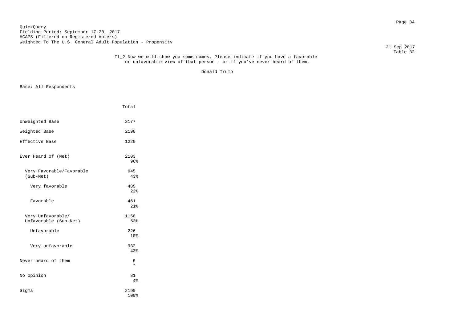# Page 34 QuickQuery Fielding Period: September 17-20, 2017 HCAPS (Filtered on Registered Voters) Weighted To The U.S. General Adult Population - Propensity

21 Sep 2017

### Table 32 F1\_2 Now we will show you some names. Please indicate if you have a favorable or unfavorable view of that person - or if you've never heard of them.

Donald Trump

|                                            | Total        |  |
|--------------------------------------------|--------------|--|
| Unweighted Base                            | 2177         |  |
| Weighted Base                              | 2190         |  |
| Effective Base                             | 1220         |  |
| Ever Heard Of (Net)                        | 2103<br>96%  |  |
| Very Favorable/Favorable<br>(Sub-Net)      | 945<br>43%   |  |
| Very favorable                             | 485<br>22%   |  |
| Favorable                                  | 461<br>21%   |  |
| Very Unfavorable/<br>Unfavorable (Sub-Net) | 1158<br>53%  |  |
| Unfavorable                                | 226<br>10%   |  |
| Very unfavorable                           | 932<br>43%   |  |
| Never heard of them                        | 6<br>$\star$ |  |
| No opinion                                 | 81<br>4%     |  |
| Sigma                                      | 2190<br>100% |  |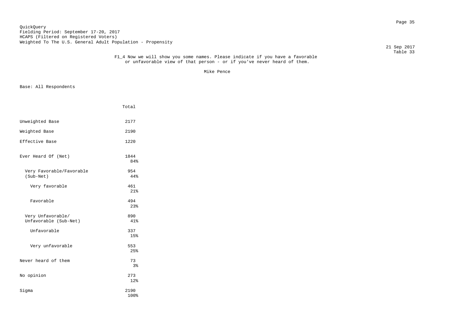# Page 35 QuickQuery Fielding Period: September 17-20, 2017 HCAPS (Filtered on Registered Voters) Weighted To The U.S. General Adult Population - Propensity

21 Sep 2017

### Table 33 F1\_4 Now we will show you some names. Please indicate if you have a favorable or unfavorable view of that person - or if you've never heard of them.

Mike Pence that the state of the state of the state of the state of the state of the state of the state of the

|                                            | Total        |  |
|--------------------------------------------|--------------|--|
| Unweighted Base                            | 2177         |  |
| Weighted Base                              | 2190         |  |
| Effective Base                             | 1220         |  |
| Ever Heard Of (Net)                        | 1844<br>84%  |  |
| Very Favorable/Favorable<br>(Sub-Net)      | 954<br>44%   |  |
| Very favorable                             | 461<br>21%   |  |
| Favorable                                  | 494<br>23%   |  |
| Very Unfavorable/<br>Unfavorable (Sub-Net) | 890<br>41%   |  |
| Unfavorable                                | 337<br>15%   |  |
| Very unfavorable                           | 553<br>25%   |  |
| Never heard of them                        | 73<br>3%     |  |
| No opinion                                 | 273<br>12%   |  |
| Sigma                                      | 2190<br>100% |  |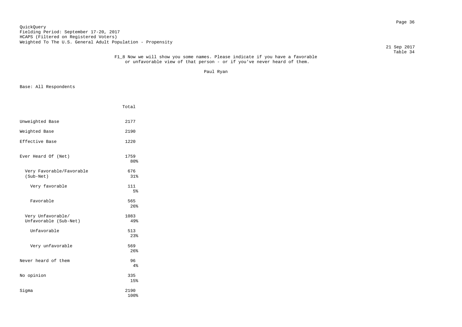Page 36 QuickQuery Fielding Period: September 17-20, 2017 HCAPS (Filtered on Registered Voters) Weighted To The U.S. General Adult Population - Propensity

21 Sep 2017

### Table 34 F1\_8 Now we will show you some names. Please indicate if you have a favorable or unfavorable view of that person - or if you've never heard of them.

Paul Ryan

|                                            | Total                 |  |
|--------------------------------------------|-----------------------|--|
| Unweighted Base                            | 2177                  |  |
| Weighted Base                              | 2190                  |  |
| Effective Base                             | 1220                  |  |
| Ever Heard Of (Net)                        | 1759<br>80%           |  |
| Very Favorable/Favorable<br>(Sub-Net)      | 676<br>31%            |  |
| Very favorable                             | 111<br>5 <sup>°</sup> |  |
| Favorable                                  | 565<br>26%            |  |
| Very Unfavorable/<br>Unfavorable (Sub-Net) | 1083<br>49%           |  |
| Unfavorable                                | 513<br>23%            |  |
| Very unfavorable                           | 569<br>26%            |  |
| Never heard of them                        | 96<br>4%              |  |
| No opinion                                 | 335<br>15%            |  |
| Sigma                                      | 2190<br>100%          |  |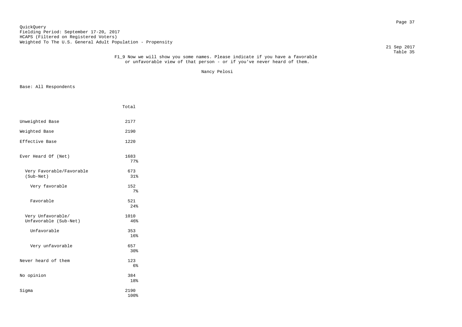# Page 37 QuickQuery Fielding Period: September 17-20, 2017 HCAPS (Filtered on Registered Voters) Weighted To The U.S. General Adult Population - Propensity

21 Sep 2017

### Table 35 F1\_9 Now we will show you some names. Please indicate if you have a favorable or unfavorable view of that person - or if you've never heard of them.

Nancy Pelosi

|                                            | Total                 |
|--------------------------------------------|-----------------------|
| Unweighted Base                            | 2177                  |
| Weighted Base                              | 2190                  |
| Effective Base                             | 1220                  |
| Ever Heard Of (Net)                        | 1683<br>77%           |
| Very Favorable/Favorable<br>(Sub-Net)      | 673<br>31%            |
| Very favorable                             | 152<br>7 <sup>°</sup> |
| Favorable                                  | 521<br>2.4%           |
| Very Unfavorable/<br>Unfavorable (Sub-Net) | 1010<br>46%           |
| Unfavorable                                | 353<br>16%            |
| Very unfavorable                           | 657<br>30%            |
| Never heard of them                        | 123<br>6 <sup>°</sup> |
| No opinion                                 | 384<br>18%            |
| Sigma                                      | 2190<br>100%          |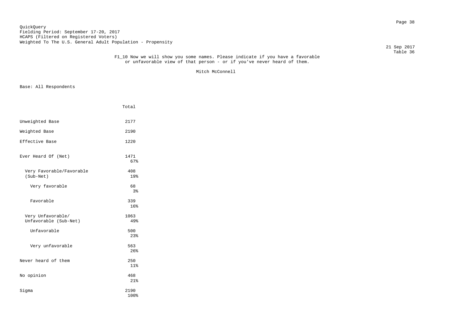# Page 38 QuickQuery Fielding Period: September 17-20, 2017 HCAPS (Filtered on Registered Voters) Weighted To The U.S. General Adult Population - Propensity

21 Sep 2017

#### Table 36 F1\_10 Now we will show you some names. Please indicate if you have a favorable or unfavorable view of that person - or if you've never heard of them.

Mitch McConnell

|                                            | Total        |  |
|--------------------------------------------|--------------|--|
| Unweighted Base                            | 2177         |  |
| Weighted Base                              | 2190         |  |
| Effective Base                             | 1220         |  |
| Ever Heard Of (Net)                        | 1471<br>67%  |  |
| Very Favorable/Favorable<br>(Sub-Net)      | 408<br>19%   |  |
| Very favorable                             | 68<br>3%     |  |
| Favorable                                  | 339<br>16%   |  |
| Very Unfavorable/<br>Unfavorable (Sub-Net) | 1063<br>49%  |  |
| Unfavorable                                | 500<br>23%   |  |
| Very unfavorable                           | 563<br>26%   |  |
| Never heard of them                        | 250<br>11%   |  |
| No opinion                                 | 468<br>21%   |  |
| Sigma                                      | 2190<br>100% |  |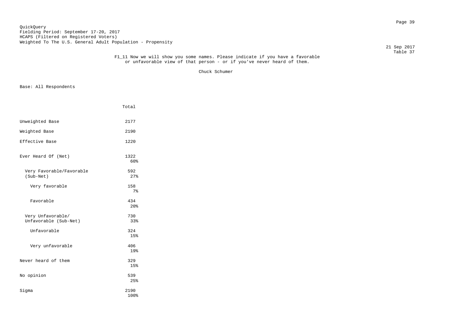# Page 39 QuickQuery Fielding Period: September 17-20, 2017 HCAPS (Filtered on Registered Voters) Weighted To The U.S. General Adult Population - Propensity

21 Sep 2017

#### Table 37 F1\_11 Now we will show you some names. Please indicate if you have a favorable or unfavorable view of that person - or if you've never heard of them.

Chuck Schumer

|                                            | Total                  |  |
|--------------------------------------------|------------------------|--|
| Unweighted Base                            | 2177                   |  |
| Weighted Base                              | 2190                   |  |
| Effective Base                             | 1220                   |  |
| Ever Heard Of (Net)                        | 1322<br>60%            |  |
| Very Favorable/Favorable<br>(Sub-Net)      | 592<br>27%             |  |
| Very favorable                             | 158<br>$7\%$           |  |
| Favorable                                  | 434<br>20 <sup>o</sup> |  |
| Very Unfavorable/<br>Unfavorable (Sub-Net) | 730<br>33%             |  |
| Unfavorable                                | 324<br>15%             |  |
| Very unfavorable                           | 406<br>19%             |  |
| Never heard of them                        | 329<br>15%             |  |
| No opinion                                 | 539<br>25%             |  |
| Sigma                                      | 2190<br>100%           |  |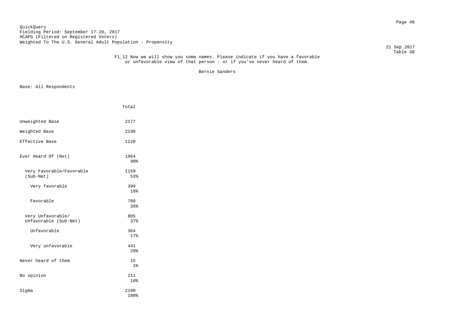# Page 40 QuickQuery Fielding Period: September 17-20, 2017 HCAPS (Filtered on Registered Voters) Weighted To The U.S. General Adult Population - Propensity

21 Sep 2017

#### Table 38 F1\_12 Now we will show you some names. Please indicate if you have a favorable or unfavorable view of that person - or if you've never heard of them.

Bernie Sanders

|                                            | Total                   |
|--------------------------------------------|-------------------------|
| Unweighted Base                            | 2177                    |
| Weighted Base                              | 2190                    |
| Effective Base                             | 1220                    |
| Ever Heard Of (Net)                        | 1964<br>90 <sup>8</sup> |
| Very Favorable/Favorable<br>(Sub-Net)      | 1159<br>53%             |
| Very favorable                             | 399<br>18%              |
| Favorable                                  | 760<br>35%              |
| Very Unfavorable/<br>Unfavorable (Sub-Net) | 805<br>37%              |
| Unfavorable                                | 364<br>17%              |
| Very unfavorable                           | 441<br>20%              |
| Never heard of them                        | 15<br>$1\%$             |
| No opinion                                 | 211<br>10%              |
| Sigma                                      | 2190<br>100%            |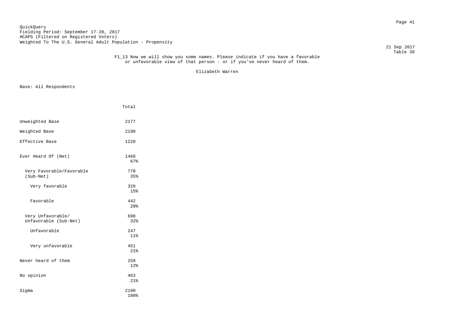21 Sep 2017

#### Table 39 F1\_13 Now we will show you some names. Please indicate if you have a favorable or unfavorable view of that person - or if you've never heard of them.

Elizabeth Warren

| Unweighted Base<br>2177                                  |  |
|----------------------------------------------------------|--|
| Weighted Base<br>2190                                    |  |
| Effective Base<br>1220                                   |  |
| Ever Heard Of (Net)<br>1468<br>67%                       |  |
| Very Favorable/Favorable<br>770<br>(Sub-Net)<br>35%      |  |
| Very favorable<br>328<br>15%                             |  |
| Favorable<br>442<br>20 <sup>o</sup>                      |  |
| 698<br>Very Unfavorable/<br>Unfavorable (Sub-Net)<br>32% |  |
| Unfavorable<br>247<br>11%                                |  |
| Very unfavorable<br>451<br>21%                           |  |
| Never heard of them<br>259<br>12%                        |  |
| No opinion<br>463<br>21%                                 |  |
| Sigma<br>2190<br>100%                                    |  |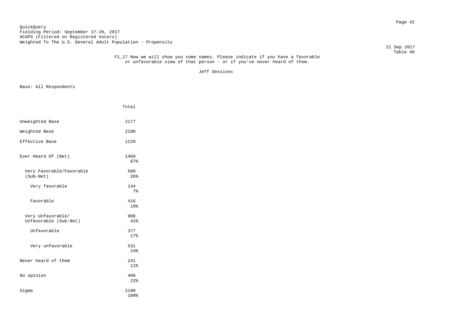# Page 42 QuickQuery Fielding Period: September 17-20, 2017 HCAPS (Filtered on Registered Voters) Weighted To The U.S. General Adult Population - Propensity

21 Sep 2017

#### Table 40 F1\_17 Now we will show you some names. Please indicate if you have a favorable or unfavorable view of that person - or if you've never heard of them.

Jeff Sessions

|                                            | Total                 |  |
|--------------------------------------------|-----------------------|--|
| Unweighted Base                            | 2177                  |  |
| Weighted Base                              | 2190                  |  |
| Effective Base                             | 1220                  |  |
| Ever Heard Of (Net)                        | 1469<br>67%           |  |
| Very Favorable/Favorable<br>(Sub-Net)      | 560<br>26%            |  |
| Very favorable                             | 144<br>7 <sup>8</sup> |  |
| Favorable                                  | 416<br>19%            |  |
| Very Unfavorable/<br>Unfavorable (Sub-Net) | 908<br>41%            |  |
| Unfavorable                                | 377<br>17%            |  |
| Very unfavorable                           | 531<br>24%            |  |
| Never heard of them                        | 241<br>11%            |  |
| No opinion                                 | 480<br>22%            |  |
| Sigma                                      | 2190<br>100%          |  |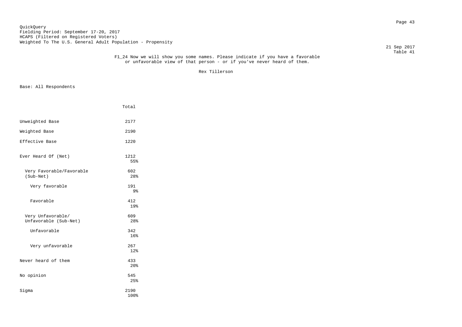21 Sep 2017

# Table 41 F1\_24 Now we will show you some names. Please indicate if you have a favorable or unfavorable view of that person - or if you've never heard of them.

Rex Tillerson

|                                            | Total                 |  |
|--------------------------------------------|-----------------------|--|
| Unweighted Base                            | 2177                  |  |
| Weighted Base                              | 2190                  |  |
| Effective Base                             | 1220                  |  |
| Ever Heard Of (Net)                        | 1212<br>55%           |  |
| Very Favorable/Favorable<br>(Sub-Net)      | 602<br>28%            |  |
| Very favorable                             | 191<br>9 <sub>8</sub> |  |
| Favorable                                  | 412<br>19%            |  |
| Very Unfavorable/<br>Unfavorable (Sub-Net) | 609<br>28%            |  |
| Unfavorable                                | 342<br>16%            |  |
| Very unfavorable                           | 267<br>12%            |  |
| Never heard of them                        | 433<br>20%            |  |
| No opinion                                 | 545<br>25%            |  |
| Sigma                                      | 2190<br>100%          |  |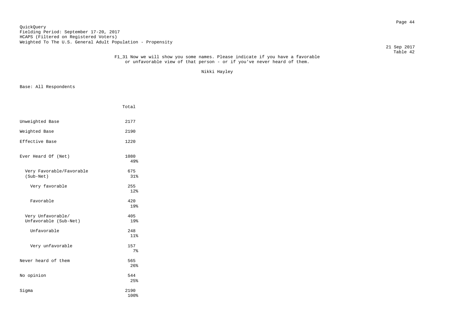Page 44 QuickQuery Fielding Period: September 17-20, 2017 HCAPS (Filtered on Registered Voters) Weighted To The U.S. General Adult Population - Propensity

21 Sep 2017

### Table 42 F1\_31 Now we will show you some names. Please indicate if you have a favorable or unfavorable view of that person - or if you've never heard of them.

Nikki Hayley

|                                            | Total        |  |
|--------------------------------------------|--------------|--|
| Unweighted Base                            | 2177         |  |
| Weighted Base                              | 2190         |  |
| Effective Base                             | 1220         |  |
| Ever Heard Of (Net)                        | 1080<br>49%  |  |
| Very Favorable/Favorable<br>(Sub-Net)      | 675<br>31%   |  |
| Very favorable                             | 255<br>12%   |  |
| Favorable                                  | 420<br>19%   |  |
| Very Unfavorable/<br>Unfavorable (Sub-Net) | 405<br>19%   |  |
| Unfavorable                                | 248<br>11%   |  |
| Very unfavorable                           | 157<br>7%    |  |
| Never heard of them                        | 565<br>26%   |  |
| No opinion                                 | 544<br>25%   |  |
| Sigma                                      | 2190<br>100% |  |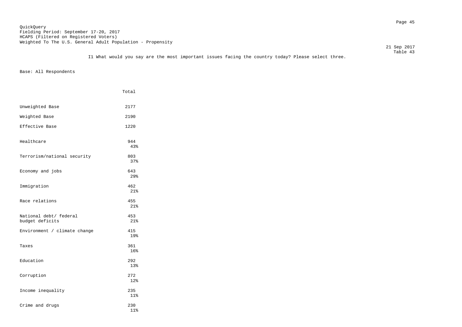Page 45 QuickQuery Fielding Period: September 17-20, 2017 HCAPS (Filtered on Registered Voters) Weighted To The U.S. General Adult Population - Propensity

21 Sep 2017

 Table 43 I1 What would you say are the most important issues facing the country today? Please select three.

|                                           | Total      |
|-------------------------------------------|------------|
| Unweighted Base                           | 2177       |
| Weighted Base                             | 2190       |
| Effective Base                            | 1220       |
| Healthcare                                | 944<br>43% |
| Terrorism/national security               | 803<br>37% |
| Economy and jobs                          | 643<br>29% |
| Immigration                               | 462<br>21% |
| Race relations                            | 455<br>21% |
| National debt/ federal<br>budget deficits | 453<br>21% |
| Environment / climate change              | 415<br>19% |
| Taxes                                     | 361<br>16% |
| Education                                 | 292<br>13% |
| Corruption                                | 272<br>12% |
| Income inequality                         | 235<br>11% |
| Crime and drugs                           | 230<br>11% |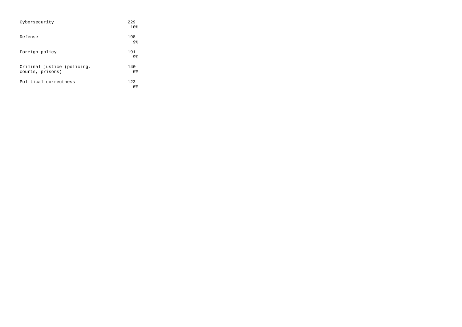| Cybersecurity                                   | 229<br>10 <sup>8</sup> |
|-------------------------------------------------|------------------------|
| Defense                                         | 198<br>9 <sub>8</sub>  |
| Foreign policy                                  | 191<br>9 <sub>8</sub>  |
| Criminal justice (policing,<br>courts, prisons) | 140<br>6%              |
| Political correctness                           | 123<br>6 <sup>°</sup>  |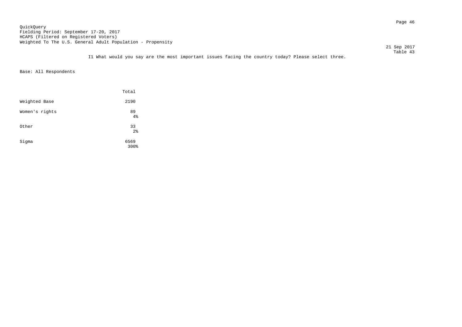Page 46 QuickQuery Fielding Period: September 17-20, 2017 HCAPS (Filtered on Registered Voters) Weighted To The U.S. General Adult Population - Propensity

21 Sep 2017

 Table 43 I1 What would you say are the most important issues facing the country today? Please select three.

|                | Total                |
|----------------|----------------------|
| Weighted Base  | 2190                 |
| Women's rights | 89<br>4%             |
| Other          | 33<br>2 <sup>8</sup> |
| Sigma          | 6569<br>300%         |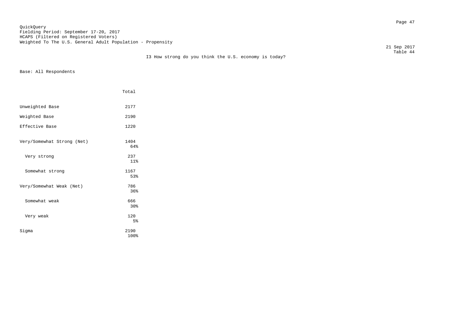Page 47 QuickQuery Fielding Period: September 17-20, 2017 HCAPS (Filtered on Registered Voters) Weighted To The U.S. General Adult Population - Propensity

21 Sep 2017

|                            | Total        |
|----------------------------|--------------|
| Unweighted Base            | 2177         |
| Weighted Base              | 2190         |
| Effective Base             | 1220         |
| Very/Somewhat Strong (Net) | 1404<br>64%  |
| Very strong                | 237<br>11%   |
| Somewhat strong            | 1167<br>53%  |
| Very/Somewhat Weak (Net)   | 786<br>36%   |
| Somewhat weak              | 666<br>30%   |
| Very weak                  | 120<br>5%    |
| Sigma                      | 2190<br>100% |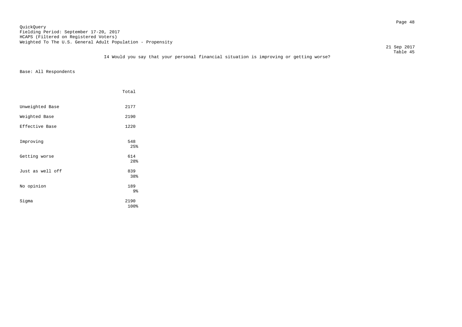# Page 48 QuickQuery Fielding Period: September 17-20, 2017 HCAPS (Filtered on Registered Voters) Weighted To The U.S. General Adult Population - Propensity

21 Sep 2017

### Table 45 I4 Would you say that your personal financial situation is improving or getting worse?

|                  | Total        |
|------------------|--------------|
| Unweighted Base  | 2177         |
| Weighted Base    | 2190         |
| Effective Base   | 1220         |
| Improving        | 548<br>25%   |
| Getting worse    | 614<br>28%   |
| Just as well off | 839<br>38%   |
| No opinion       | 189<br>9%    |
| Sigma            | 2190<br>100% |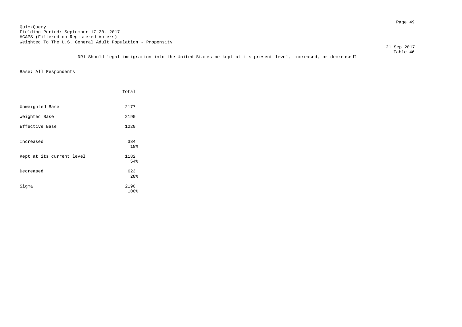21 Sep 2017

 Table 46 DR1 Should legal immigration into the United States be kept at its present level, increased, or decreased?

|                           | Total             |
|---------------------------|-------------------|
| Unweighted Base           | 2177              |
| Weighted Base             | 2190              |
| Effective Base            | 1220              |
| Increased                 | 384<br>18%        |
| Kept at its current level | 1182              |
| Decreased                 | 54%<br>623<br>28% |
| Sigma                     | 2190<br>100%      |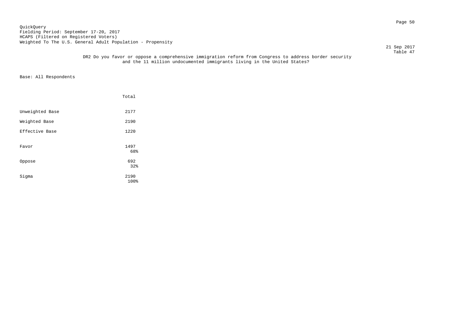# Page 50 QuickQuery Fielding Period: September 17-20, 2017 HCAPS (Filtered on Registered Voters) Weighted To The U.S. General Adult Population - Propensity

21 Sep 2017

### Table 47 DR2 Do you favor or oppose a comprehensive immigration reform from Congress to address border security and the 11 million undocumented immigrants living in the United States?

|                 | Total        |
|-----------------|--------------|
| Unweighted Base | 2177         |
| Weighted Base   | 2190         |
| Effective Base  | 1220         |
| Favor           | 1497<br>68%  |
| Oppose          | 692<br>32%   |
| Sigma           | 2190<br>100% |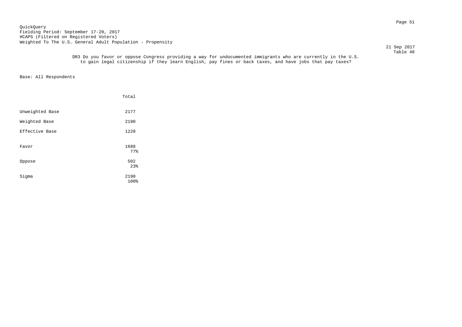Page 51 QuickQuery Fielding Period: September 17-20, 2017 HCAPS (Filtered on Registered Voters) Weighted To The U.S. General Adult Population - Propensity

 21 Sep 2017 Table 48

 DR3 Do you favor or oppose Congress providing a way for undocumented immigrants who are currently in the U.S. to gain legal citizenship if they learn English, pay fines or back taxes, and have jobs that pay taxes?

|                 | Total        |
|-----------------|--------------|
| Unweighted Base | 2177         |
| Weighted Base   | 2190         |
| Effective Base  | 1220         |
| Favor           | 1688<br>77%  |
| Oppose          | 502<br>23%   |
| Sigma           | 2190<br>100% |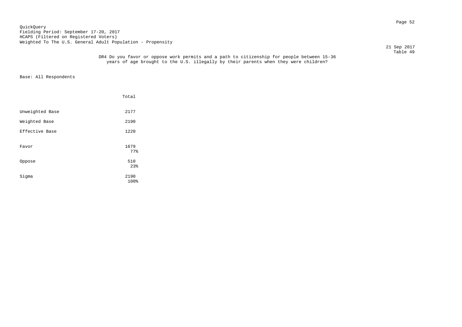Page 52 QuickQuery Fielding Period: September 17-20, 2017 HCAPS (Filtered on Registered Voters) Weighted To The U.S. General Adult Population - Propensity

21 Sep 2017

 Table 49 DR4 Do you favor or oppose work permits and a path to citizenship for people between 15-36 years of age brought to the U.S. illegally by their parents when they were children?

|                 | Total        |  |
|-----------------|--------------|--|
| Unweighted Base | 2177         |  |
| Weighted Base   | 2190         |  |
| Effective Base  | 1220         |  |
| Favor           | 1679<br>77%  |  |
| Oppose          | 510<br>23%   |  |
| Sigma           | 2190<br>100% |  |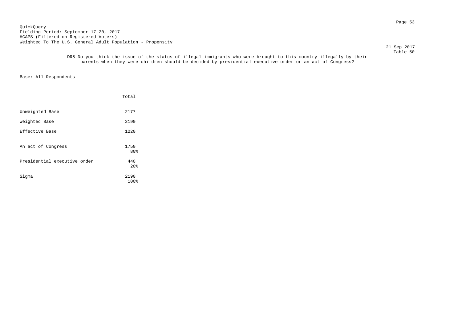Page 53 QuickQuery Fielding Period: September 17-20, 2017 HCAPS (Filtered on Registered Voters) Weighted To The U.S. General Adult Population - Propensity

 21 Sep 2017 Table 50

 DR5 Do you think the issue of the status of illegal immigrants who were brought to this country illegally by their parents when they were children should be decided by presidential executive order or an act of Congress?

|                              | Total                  |
|------------------------------|------------------------|
| Unweighted Base              | 2177                   |
| Weighted Base                | 2190                   |
| Effective Base               | 1220                   |
| An act of Congress           | 1750<br>80%            |
| Presidential executive order | 440<br>20 <sup>8</sup> |
| Sigma                        | 2190<br>100%           |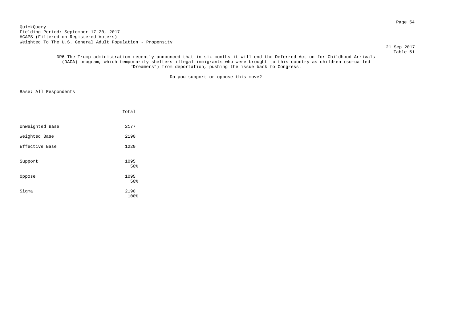Page 54 QuickQuery Fielding Period: September 17-20, 2017 HCAPS (Filtered on Registered Voters) Weighted To The U.S. General Adult Population - Propensity

21 Sep 2017

 Table 51 DR6 The Trump administration recently announced that in six months it will end the Deferred Action for Childhood Arrivals (DACA) program, which temporarily shelters illegal immigrants who were brought to this country as children (so-called "Dreamers") from deportation, pushing the issue back to Congress.

Do you support or oppose this move?

|                 | Total        |  |
|-----------------|--------------|--|
| Unweighted Base | 2177         |  |
| Weighted Base   | 2190         |  |
| Effective Base  | 1220         |  |
| Support         | 1095<br>50%  |  |
| Oppose          | 1095<br>50%  |  |
| Sigma           | 2190<br>100% |  |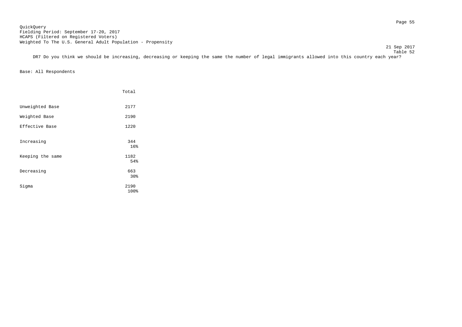Page 55 QuickQuery Fielding Period: September 17-20, 2017 HCAPS (Filtered on Registered Voters) Weighted To The U.S. General Adult Population - Propensity

|                  | Total                  |
|------------------|------------------------|
| Unweighted Base  | 2177                   |
| Weighted Base    | 2190                   |
| Effective Base   | 1220                   |
| Increasing       | 344<br>16 <sup>°</sup> |
| Keeping the same | 1182<br>54%            |
| Decreasing       | 663<br>30 <sub>8</sub> |
| Sigma            | 2190<br>100%           |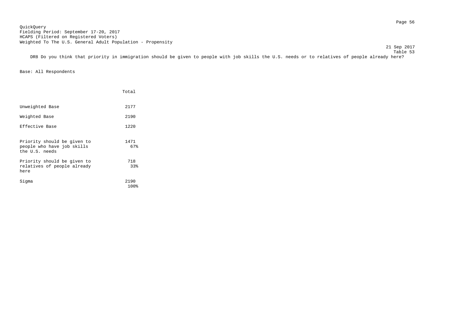21 Sep 2017

 Table 53 DR8 Do you think that priority in immigration should be given to people with job skills the U.S. needs or to relatives of people already here?

|                                                                             | Total        |
|-----------------------------------------------------------------------------|--------------|
| Unweighted Base                                                             | 2177         |
| Weighted Base                                                               | 2190         |
| Effective Base                                                              | 1220         |
| Priority should be given to<br>people who have job skills<br>the U.S. needs | 1471<br>67%  |
| Priority should be given to<br>relatives of people already<br>here          | 718<br>33%   |
| Sigma                                                                       | 2190<br>100% |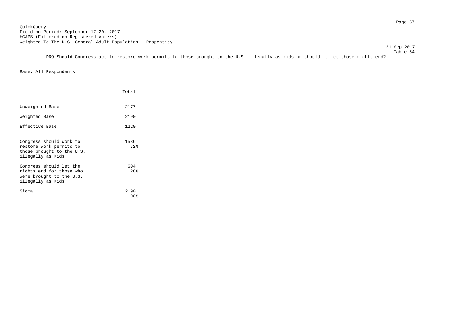21 Sep 2017

 Table 54 DR9 Should Congress act to restore work permits to those brought to the U.S. illegally as kids or should it let those rights end?

|                                                                                                      | Total        |
|------------------------------------------------------------------------------------------------------|--------------|
| Unweighted Base                                                                                      | 2177         |
| Weighted Base                                                                                        | 2190         |
| Effective Base                                                                                       | 1220         |
| Congress should work to<br>restore work permits to<br>those brought to the U.S.<br>illegally as kids | 1586<br>72%  |
| Congress should let the<br>rights end for those who<br>were brought to the U.S.<br>illegally as kids | 604<br>28%   |
| Siqma                                                                                                | 2190<br>100% |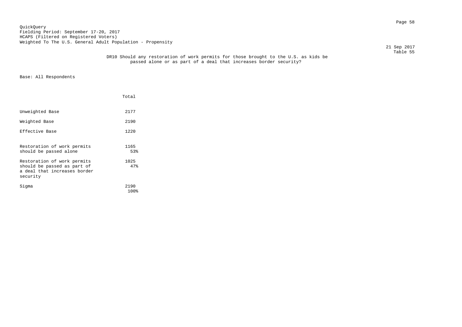Page 58 QuickQuery Fielding Period: September 17-20, 2017 HCAPS (Filtered on Registered Voters) Weighted To The U.S. General Adult Population - Propensity

21 Sep 2017

#### Table 55 DR10 Should any restoration of work permits for those brought to the U.S. as kids be passed alone or as part of a deal that increases border security?

|                                                                                                        | Total        |
|--------------------------------------------------------------------------------------------------------|--------------|
| Unweighted Base                                                                                        | 2177         |
| Weighted Base                                                                                          | 2190         |
| Effective Base                                                                                         | 1220         |
| Restoration of work permits<br>should be passed alone                                                  | 1165<br>53%  |
| Restoration of work permits<br>should be passed as part of<br>a deal that increases border<br>security | 1025<br>47%  |
| Siqma                                                                                                  | 2190<br>100% |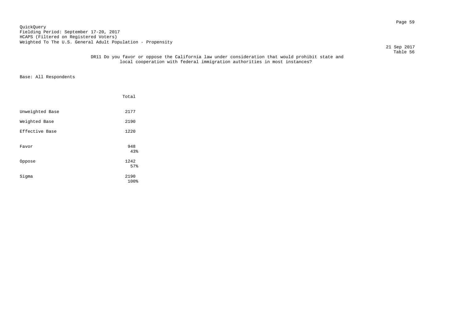# Page 59 QuickQuery Fielding Period: September 17-20, 2017 HCAPS (Filtered on Registered Voters) Weighted To The U.S. General Adult Population - Propensity

21 Sep 2017

### Table 56 DR11 Do you favor or oppose the California law under consideration that would prohibit state and local cooperation with federal immigration authorities in most instances?

|                 | Total        |  |
|-----------------|--------------|--|
| Unweighted Base | 2177         |  |
| Weighted Base   | 2190         |  |
| Effective Base  | 1220         |  |
| Favor           | 948<br>43%   |  |
| Oppose          | 1242<br>57%  |  |
| Sigma           | 2190<br>100% |  |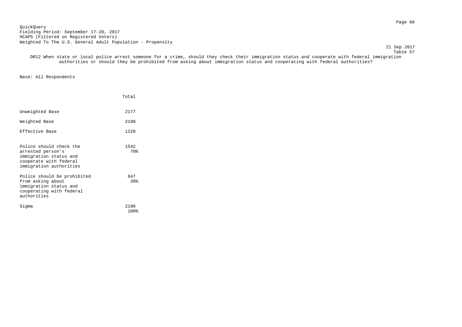Page 60 QuickQuery Fielding Period: September 17-20, 2017 HCAPS (Filtered on Registered Voters) Weighted To The U.S. General Adult Population - Propensity

21 Sep 2017

Table 57 DR12 When state or local police arrest someone for a crime, should they check their immigration status and cooperate with federal immigration authorities or should they be prohibited from asking about immigration status and cooperating with federal authorities?

|                                                                                                                             | Total        |
|-----------------------------------------------------------------------------------------------------------------------------|--------------|
| Unweighted Base                                                                                                             | 2177         |
| Weighted Base                                                                                                               | 2190         |
| Effective Base                                                                                                              | 1220         |
| Police should check the<br>arrested person's<br>immigration status and<br>cooperate with federal<br>immigration authorities | 1542<br>70%  |
| Police should be prohibited<br>from asking about<br>immigration status and<br>cooperating with federal<br>authorities       | 647<br>30%   |
| Sigma                                                                                                                       | 2190<br>100% |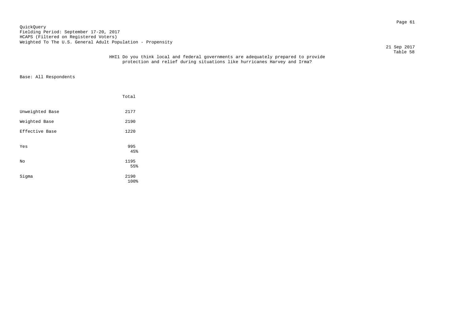# Page 61 QuickQuery Fielding Period: September 17-20, 2017 HCAPS (Filtered on Registered Voters) Weighted To The U.S. General Adult Population - Propensity

21 Sep 2017

#### Table 58 HHI1 Do you think local and federal governments are adequately prepared to provide protection and relief during situations like hurricanes Harvey and Irma?

|                 | Total        |  |
|-----------------|--------------|--|
| Unweighted Base | 2177         |  |
| Weighted Base   | 2190         |  |
| Effective Base  | 1220         |  |
| Yes             | 995<br>45%   |  |
| No              | 1195<br>55%  |  |
| Sigma           | 2190<br>100% |  |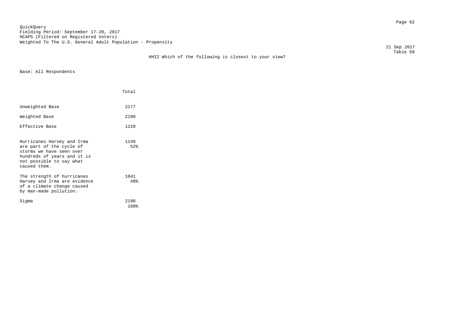Page 62 QuickQuery Fielding Period: September 17-20, 2017 HCAPS (Filtered on Registered Voters) Weighted To The U.S. General Adult Population - Propensity

HHI2 Which of the following is closest to your view?

 21 Sep 2017 Table 59

|                                                                                                                                                               | Total        |
|---------------------------------------------------------------------------------------------------------------------------------------------------------------|--------------|
| Unweighted Base                                                                                                                                               | 2177         |
| Weighted Base                                                                                                                                                 | 2190         |
| Effective Base                                                                                                                                                | 1220         |
| Hurricanes Harvey and Irma<br>are part of the cycle of<br>storms we have seen over<br>hundreds of years and it is<br>not possible to say what<br>caused them. | 1149<br>52%  |
| The strength of hurricanes<br>Harvey and Irma are evidence<br>of a climate change caused<br>by man-made pollution.                                            | 1041<br>48%  |
| Siqma                                                                                                                                                         | 2190<br>100% |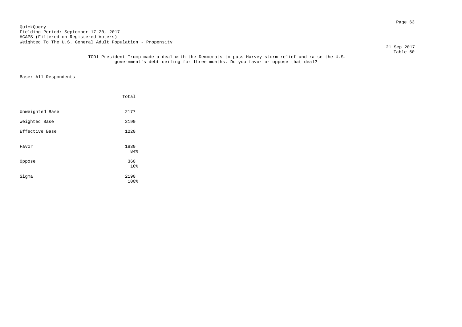Page 63 QuickQuery Fielding Period: September 17-20, 2017 HCAPS (Filtered on Registered Voters) Weighted To The U.S. General Adult Population - Propensity

21 Sep 2017

 Table 60 TCD1 President Trump made a deal with the Democrats to pass Harvey storm relief and raise the U.S. government's debt ceiling for three months. Do you favor or oppose that deal?

|                 | Total                           |  |
|-----------------|---------------------------------|--|
| Unweighted Base | 2177                            |  |
| Weighted Base   | 2190                            |  |
| Effective Base  | 1220                            |  |
| Favor           | 1830<br>84%                     |  |
| Oppose          | 360                             |  |
| Sigma           | 16 <sup>°</sup><br>2190<br>100% |  |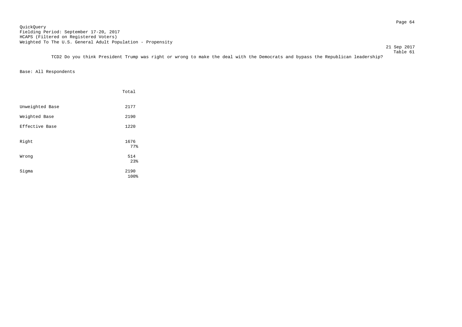Page 64 QuickQuery Fielding Period: September 17-20, 2017 HCAPS (Filtered on Registered Voters) Weighted To The U.S. General Adult Population - Propensity

 Table 61 TCD2 Do you think President Trump was right or wrong to make the deal with the Democrats and bypass the Republican leadership?

21 Sep 2017

|                 | Total        |
|-----------------|--------------|
| Unweighted Base | 2177         |
| Weighted Base   | 2190         |
| Effective Base  | 1220         |
| Right           | 1676<br>77%  |
| Wrong           | 514<br>23%   |
| Sigma           | 2190<br>100% |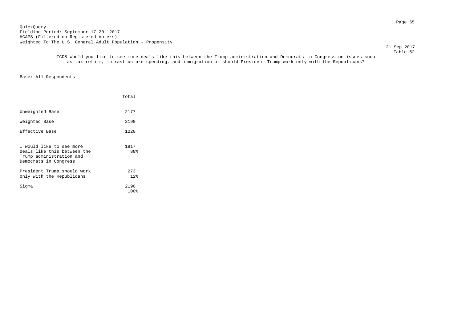Page 65 QuickQuery Fielding Period: September 17-20, 2017 HCAPS (Filtered on Registered Voters) Weighted To The U.S. General Adult Population - Propensity

21 Sep 2017

 Table 62 TCD5 Would you like to see more deals like this between the Trump administration and Democrats in Congress on issues such as tax reform, infrastructure spending, and immigration or should President Trump work only with the Republicans?

|                                                                                                              | Total        |
|--------------------------------------------------------------------------------------------------------------|--------------|
| Unweighted Base                                                                                              | 2177         |
| Weighted Base                                                                                                | 2190         |
| Effective Base                                                                                               | 1220         |
| I would like to see more<br>deals like this between the<br>Trump administration and<br>Democrats in Congress | 1917<br>88%  |
| President Trump should work<br>only with the Republicans                                                     | 273<br>12%   |
| Siqma                                                                                                        | 2190<br>100% |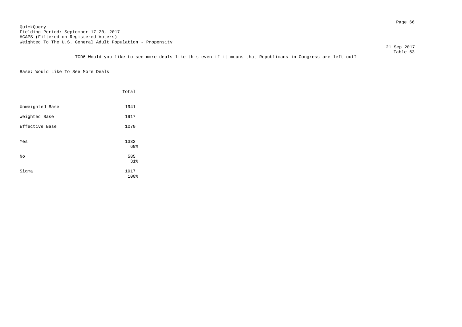### Page 66 QuickQuery Fielding Period: September 17-20, 2017 HCAPS (Filtered on Registered Voters) Weighted To The U.S. General Adult Population - Propensity

 Table 63 TCD6 Would you like to see more deals like this even if it means that Republicans in Congress are left out?

21 Sep 2017

Base: Would Like To See More Deals

|                 | Total        |
|-----------------|--------------|
| Unweighted Base | 1941         |
| Weighted Base   | 1917         |
| Effective Base  | 1070         |
| Yes             | 1332<br>69%  |
| No              | 585<br>31%   |
| Sigma           | 1917<br>100% |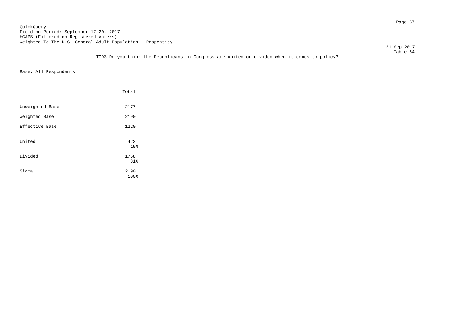Page 67 QuickQuery Fielding Period: September 17-20, 2017 HCAPS (Filtered on Registered Voters) Weighted To The U.S. General Adult Population - Propensity

21 Sep 2017

 Table 64 TCD3 Do you think the Republicans in Congress are united or divided when it comes to policy?

|                 | Total        |
|-----------------|--------------|
| Unweighted Base | 2177         |
| Weighted Base   | 2190         |
| Effective Base  | 1220         |
| United          | 422<br>19%   |
| Divided         | 1768<br>81%  |
| Sigma           | 2190<br>100% |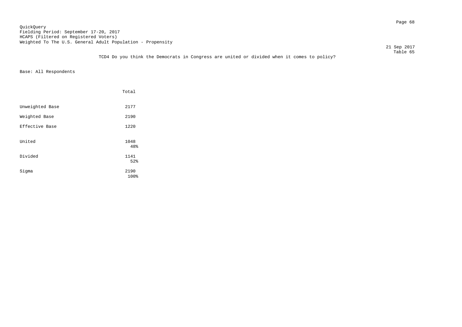Page 68 QuickQuery Fielding Period: September 17-20, 2017 HCAPS (Filtered on Registered Voters) Weighted To The U.S. General Adult Population - Propensity

21 Sep 2017

 Table 65 TCD4 Do you think the Democrats in Congress are united or divided when it comes to policy?

|                 | Total        |
|-----------------|--------------|
| Unweighted Base | 2177         |
| Weighted Base   | 2190         |
| Effective Base  | 1220         |
| United          | 1048<br>48%  |
| Divided         | 1141<br>52%  |
| Sigma           | 2190<br>100% |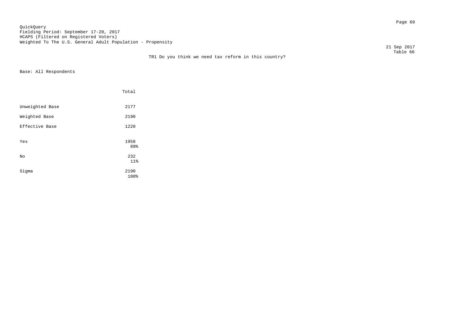Page 69 QuickQuery Fielding Period: September 17-20, 2017 HCAPS (Filtered on Registered Voters) Weighted To The U.S. General Adult Population - Propensity

TR1 Do you think we need tax reform in this country?

 21 Sep 2017 Table 66

|                 | Total        |  |
|-----------------|--------------|--|
| Unweighted Base | 2177         |  |
| Weighted Base   | 2190         |  |
| Effective Base  | 1220         |  |
| Yes             | 1958<br>89%  |  |
| No              | 232<br>11%   |  |
| Sigma           | 2190<br>100% |  |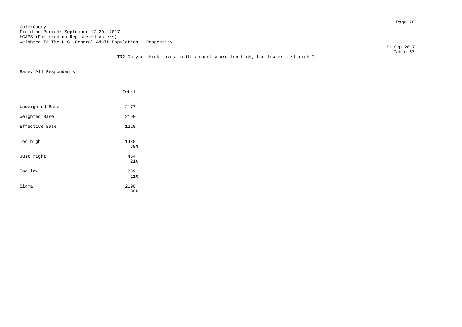### Page 70 QuickQuery Fielding Period: September 17-20, 2017 HCAPS (Filtered on Registered Voters) Weighted To The U.S. General Adult Population - Propensity

21 Sep 2017

|                 | Total        |
|-----------------|--------------|
| Unweighted Base | 2177         |
| Weighted Base   | 2190         |
| Effective Base  | 1220         |
| Too high        | 1488<br>68%  |
| Just right      | 464<br>21%   |
| Too low         | 239<br>11%   |
| Sigma           | 2190<br>100% |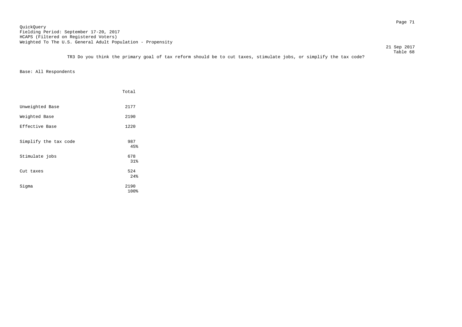Page 71 QuickQuery Fielding Period: September 17-20, 2017 HCAPS (Filtered on Registered Voters) Weighted To The U.S. General Adult Population - Propensity

21 Sep 2017

 Table 68 TR3 Do you think the primary goal of tax reform should be to cut taxes, stimulate jobs, or simplify the tax code?

|                       | Total             |
|-----------------------|-------------------|
| Unweighted Base       | 2177              |
| Weighted Base         | 2190              |
| Effective Base        | 1220              |
| Simplify the tax code | 987<br>45%        |
| Stimulate jobs        | 678               |
| Cut taxes             | 31%<br>524<br>24% |
| Sigma                 | 2190<br>100%      |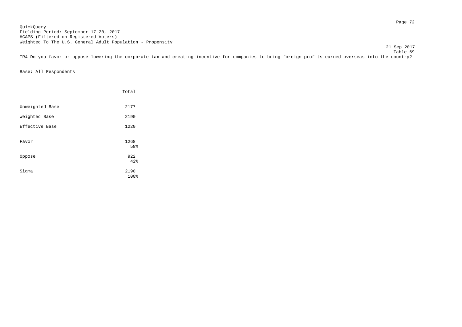Page 72 QuickQuery Fielding Period: September 17-20, 2017 HCAPS (Filtered on Registered Voters) Weighted To The U.S. General Adult Population - Propensity

21 Sep 2017

 Table 69 TR4 Do you favor or oppose lowering the corporate tax and creating incentive for companies to bring foreign profits earned overseas into the country?

|                 | Total        |
|-----------------|--------------|
| Unweighted Base | 2177         |
| Weighted Base   | 2190         |
| Effective Base  | 1220         |
| Favor           | 1268<br>58%  |
| Oppose          | 922<br>42%   |
| Sigma           | 2190<br>100% |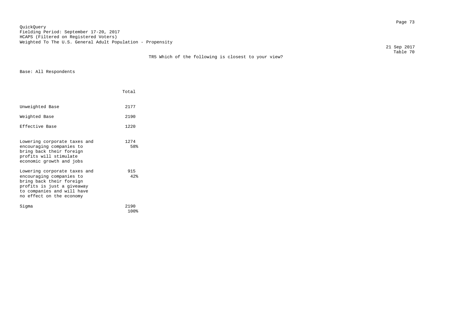Page 73 QuickQuery Fielding Period: September 17-20, 2017 HCAPS (Filtered on Registered Voters) Weighted To The U.S. General Adult Population - Propensity

TR5 Which of the following is closest to your view?

 21 Sep 2017 21 Sep 2017<br>Table 70

|                                                                                                                                                                              | Total        |  |
|------------------------------------------------------------------------------------------------------------------------------------------------------------------------------|--------------|--|
| Unweighted Base                                                                                                                                                              | 2177         |  |
| Weighted Base                                                                                                                                                                | 2190         |  |
| Effective Base                                                                                                                                                               | 1220         |  |
| Lowering corporate taxes and<br>encouraging companies to<br>bring back their foreign<br>profits will stimulate<br>economic growth and jobs                                   | 1274<br>58%  |  |
| Lowering corporate taxes and<br>encouraging companies to<br>bring back their foreign<br>profits is just a giveaway<br>to companies and will have<br>no effect on the economy | 915<br>42%   |  |
| Siqma                                                                                                                                                                        | 2190<br>100% |  |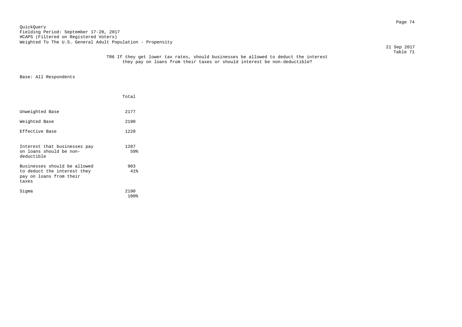Page 74 QuickQuery Fielding Period: September 17-20, 2017 HCAPS (Filtered on Registered Voters) Weighted To The U.S. General Adult Population - Propensity

21 Sep 2017

#### Table 71 TR6 If they get lower tax rates, should businesses be allowed to deduct the interest they pay on loans from their taxes or should interest be non-deductible?

|                                                                                                 | Total        |  |
|-------------------------------------------------------------------------------------------------|--------------|--|
| Unweighted Base                                                                                 | 2177         |  |
| Weighted Base                                                                                   | 2190         |  |
| Effective Base                                                                                  | 1220         |  |
| Interest that businesses pay<br>on loans should be non-<br>deductible                           | 1287<br>59%  |  |
| Businesses should be allowed<br>to deduct the interest they<br>pay on loans from their<br>taxes | 903<br>41%   |  |
| Siqma                                                                                           | 2190<br>100% |  |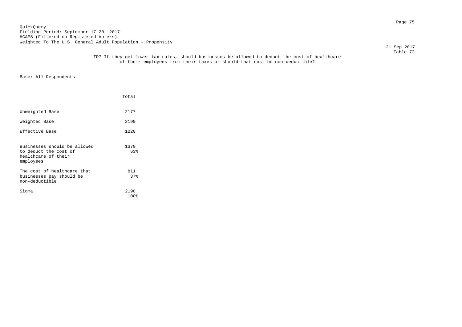Page 75 QuickQuery Fielding Period: September 17-20, 2017 HCAPS (Filtered on Registered Voters) Weighted To The U.S. General Adult Population - Propensity

21 Sep 2017

#### Table 72 TR7 If they get lower tax rates, should businesses be allowed to deduct the cost of healthcare of their employees from their taxes or should that cost be non-deductible?

|                                                                                           | Total        |  |
|-------------------------------------------------------------------------------------------|--------------|--|
| Unweighted Base                                                                           | 2177         |  |
| Weighted Base                                                                             | 2190         |  |
| Effective Base                                                                            | 1220         |  |
| Businesses should be allowed<br>to deduct the cost of<br>healthcare of their<br>employees | 1379<br>63%  |  |
| The cost of healthcare that<br>businesses pay should be<br>non-deductible                 | 811<br>37%   |  |
| Siqma                                                                                     | 2190<br>100% |  |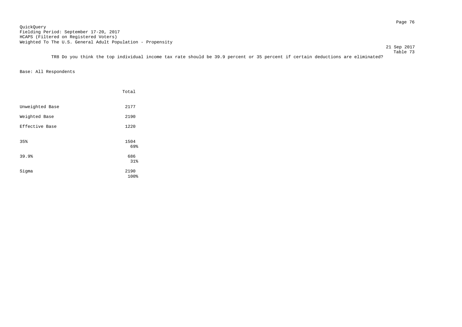Page 76 QuickQuery Fielding Period: September 17-20, 2017 HCAPS (Filtered on Registered Voters) Weighted To The U.S. General Adult Population - Propensity

 Table 73 TR8 Do you think the top individual income tax rate should be 39.9 percent or 35 percent if certain deductions are eliminated?

21 Sep 2017

|                 | Total        |
|-----------------|--------------|
| Unweighted Base | 2177         |
| Weighted Base   | 2190         |
| Effective Base  | 1220         |
| 35%             | 1504<br>69%  |
| 39.9%           | 686<br>31%   |
| Sigma           | 2190<br>100% |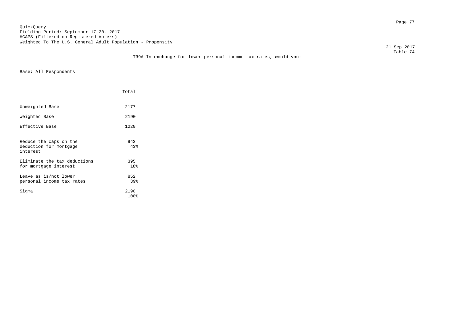Page 77 QuickQuery Fielding Period: September 17-20, 2017 HCAPS (Filtered on Registered Voters) Weighted To The U.S. General Adult Population - Propensity

 21 Sep 2017 21 Sep 2017<br>Table 74

## TR9A In exchange for lower personal income tax rates, would you:

|                                                              | Total        |
|--------------------------------------------------------------|--------------|
| Unweighted Base                                              | 2177         |
| Weighted Base                                                | 2190         |
| Effective Base                                               | 1220         |
| Reduce the caps on the<br>deduction for mortgage<br>interest | 943<br>43%   |
| Eliminate the tax deductions<br>for mortgage interest        | 395<br>18%   |
| Leave as is/not lower<br>personal income tax rates           | 852<br>39%   |
| Sigma                                                        | 2190<br>100% |
|                                                              |              |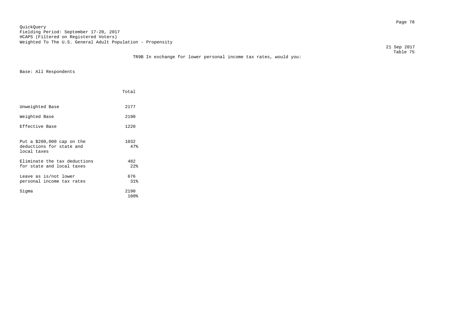Page 78 QuickQuery Fielding Period: September 17-20, 2017 HCAPS (Filtered on Registered Voters) Weighted To The U.S. General Adult Population - Propensity

21 Sep 2017

#### Table 75 TR9B In exchange for lower personal income tax rates, would you:

|                                                                        | Total        |
|------------------------------------------------------------------------|--------------|
| Unweighted Base                                                        | 2177         |
| Weighted Base                                                          | 2190         |
| Effective Base                                                         | 1220         |
| Put a $$200,000$ cap on the<br>deductions for state and<br>local taxes | 1032<br>47%  |
| Eliminate the tax deductions<br>for state and local taxes              | 482<br>22    |
| Leave as is/not lower<br>personal income tax rates                     | 676<br>31%   |
| Siqma                                                                  | 2190<br>100% |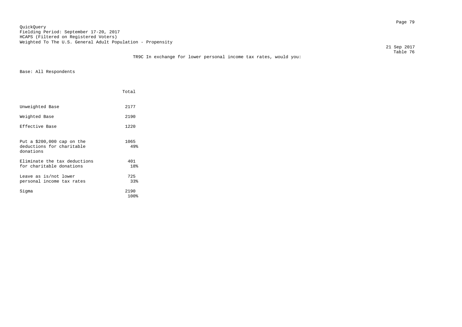Page 79 QuickQuery Fielding Period: September 17-20, 2017 HCAPS (Filtered on Registered Voters) Weighted To The U.S. General Adult Population - Propensity

21 Sep 2017

#### Table 76 TR9C In exchange for lower personal income tax rates, would you:

|                                                                       | Total        |
|-----------------------------------------------------------------------|--------------|
| Unweighted Base                                                       | 2177         |
| Weighted Base                                                         | 2190         |
| Effective Base                                                        | 1220         |
| Put a $$200,000$ cap on the<br>deductions for charitable<br>donations | 1065<br>49%  |
| Eliminate the tax deductions<br>for charitable donations              | 401<br>18%   |
| Leave as is/not lower<br>personal income tax rates                    | 725<br>33%   |
| Siqma                                                                 | 2190<br>100% |
|                                                                       |              |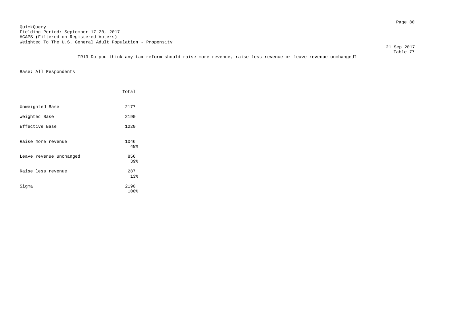21 Sep 2017

 Table 77 TR13 Do you think any tax reform should raise more revenue, raise less revenue or leave revenue unchanged?

|                         | Total        |
|-------------------------|--------------|
| Unweighted Base         | 2177         |
| Weighted Base           | 2190         |
| Effective Base          | 1220         |
| Raise more revenue      | 1046<br>48%  |
| Leave revenue unchanged | 856<br>39%   |
| Raise less revenue      | 287<br>13%   |
| Sigma                   | 2190<br>100% |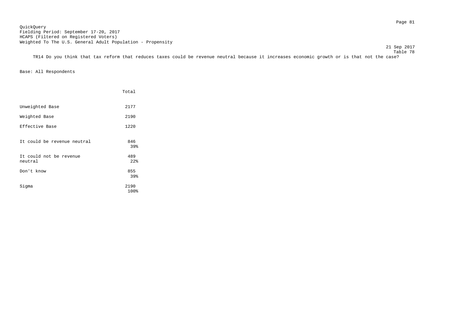Page 81 QuickQuery Fielding Period: September 17-20, 2017 HCAPS (Filtered on Registered Voters) Weighted To The U.S. General Adult Population - Propensity

21 Sep 2017

 Table 78 TR14 Do you think that tax reform that reduces taxes could be revenue neutral because it increases economic growth or is that not the case?

|                                    | Total                    |
|------------------------------------|--------------------------|
| Unweighted Base                    | 2177                     |
| Weighted Base                      | 2190                     |
| Effective Base                     | 1220                     |
| It could be revenue neutral        | 846<br>39%               |
| It could not be revenue<br>neutral | 489<br>$22$ <sup>8</sup> |
| Don't know                         | 855<br>39%               |
| Sigma                              | 2190<br>100%             |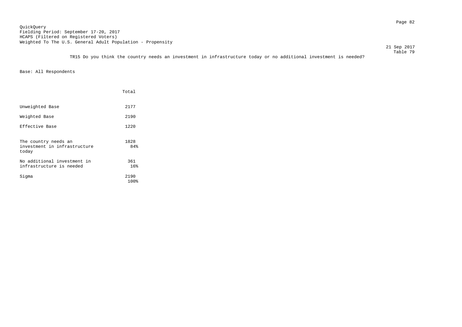21 Sep 2017 Table 79

TR15 Do you think the country needs an investment in infrastructure today or no additional investment is needed?

|                                                               | Total        |
|---------------------------------------------------------------|--------------|
| Unweighted Base                                               | 2177         |
| Weighted Base                                                 | 2190         |
| Effective Base                                                | 1220         |
| The country needs an<br>investment in infrastructure<br>today | 1828<br>84%  |
| No additional investment in<br>infrastructure is needed       | 361<br>16%   |
| Siqma                                                         | 2190<br>100% |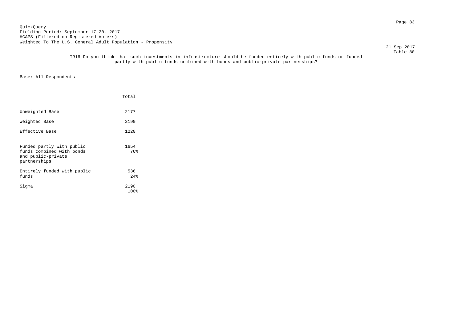Page 83 QuickQuery Fielding Period: September 17-20, 2017 HCAPS (Filtered on Registered Voters) Weighted To The U.S. General Adult Population - Propensity

21 Sep 2017

#### Table 80 TR16 Do you think that such investments in infrastructure should be funded entirely with public funds or funded partly with public funds combined with bonds and public-private partnerships?

|                                                                                              | Total        |
|----------------------------------------------------------------------------------------------|--------------|
| Unweighted Base                                                                              | 2177         |
| Weighted Base                                                                                | 2190         |
| Effective Base                                                                               | 1220         |
| Funded partly with public<br>funds combined with bonds<br>and public-private<br>partnerships | 1654<br>76%  |
| Entirely funded with public<br>funds                                                         | 536<br>24%   |
| Siqma                                                                                        | 2190<br>100% |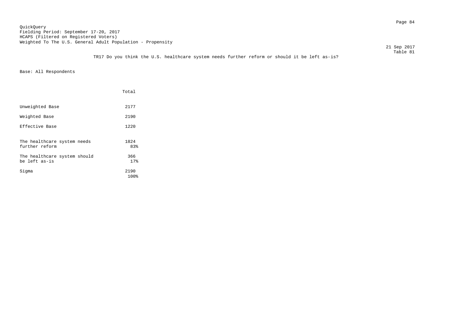Page 84 QuickQuery Fielding Period: September 17-20, 2017 HCAPS (Filtered on Registered Voters) Weighted To The U.S. General Adult Population - Propensity

21 Sep 2017

|                                               | Total        |
|-----------------------------------------------|--------------|
| Unweighted Base                               | 2177         |
| Weighted Base                                 | 2190         |
| Effective Base                                | 1220         |
| The healthcare system needs<br>further reform | 1824<br>83%  |
| The healthcare system should<br>be left as-is | 366<br>17%   |
| Sigma                                         | 2190<br>100% |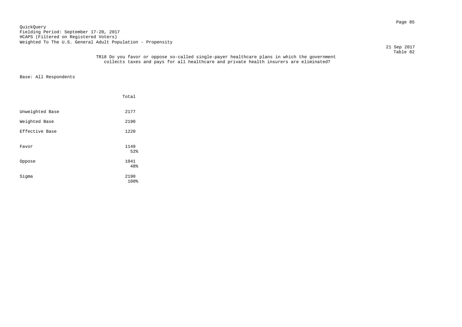Page 85 QuickQuery Fielding Period: September 17-20, 2017 HCAPS (Filtered on Registered Voters) Weighted To The U.S. General Adult Population - Propensity

21 Sep 2017

#### Table 82 TR18 Do you favor or oppose so-called single-payer healthcare plans in which the government collects taxes and pays for all healthcare and private health insurers are eliminated?

|                 | Total        |  |
|-----------------|--------------|--|
| Unweighted Base | 2177         |  |
| Weighted Base   | 2190         |  |
| Effective Base  | 1220         |  |
| Favor           | 1149<br>52%  |  |
| Oppose          | 1041<br>48%  |  |
| Sigma           | 2190<br>100% |  |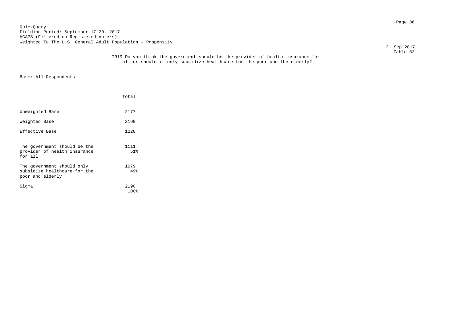Page 86 QuickQuery Fielding Period: September 17-20, 2017 HCAPS (Filtered on Registered Voters) Weighted To The U.S. General Adult Population - Propensity

21 Sep 2017

|                                                                                | Total        |
|--------------------------------------------------------------------------------|--------------|
| Unweighted Base                                                                | 2177         |
| Weighted Base                                                                  | 2190         |
| Effective Base                                                                 | 1220         |
| The government should be the<br>provider of health insurance<br>for all        | 1111<br>51%  |
| The government should only<br>subsidize healthcare for the<br>poor and elderly | 1079<br>49%  |
| Sigma                                                                          | 2190<br>100% |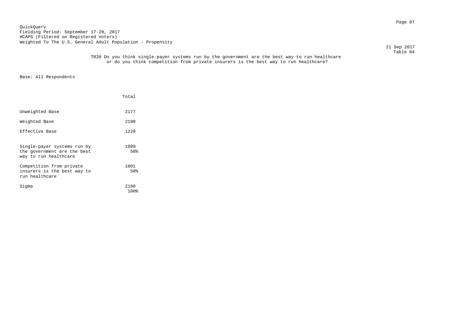### Page 87 QuickQuery Fielding Period: September 17-20, 2017 HCAPS (Filtered on Registered Voters) Weighted To The U.S. General Adult Population - Propensity

21 Sep 2017

#### Table 84 TR20 Do you think single-payer systems run by the government are the best way to run healthcare or do you think competition from private insurers is the best way to run healthcare?

|                                                                                     | Total        |
|-------------------------------------------------------------------------------------|--------------|
| Unweighted Base                                                                     | 2177         |
| Weighted Base                                                                       | 2190         |
| Effective Base                                                                      | 1220         |
| Single-payer systems run by<br>the government are the best<br>way to run healthcare | 1099<br>50%  |
| Competition from private<br>insurers is the best way to<br>run healthcare           | 1091<br>50%  |
| Siqma                                                                               | 2190<br>100% |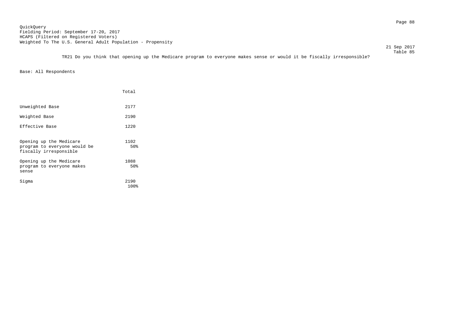Page 88 QuickQuery Fielding Period: September 17-20, 2017 HCAPS (Filtered on Registered Voters) Weighted To The U.S. General Adult Population - Propensity

21 Sep 2017

 Table 85 TR21 Do you think that opening up the Medicare program to everyone makes sense or would it be fiscally irresponsible?

|                                                                                   | Total        |
|-----------------------------------------------------------------------------------|--------------|
| Unweighted Base                                                                   | 2177         |
| Weighted Base                                                                     | 2190         |
| Effective Base                                                                    | 1220         |
| Opening up the Medicare<br>program to everyone would be<br>fiscally irresponsible | 1102<br>50%  |
| Opening up the Medicare<br>program to everyone makes<br>sense                     | 1088<br>50%  |
| Siqma                                                                             | 2190<br>100% |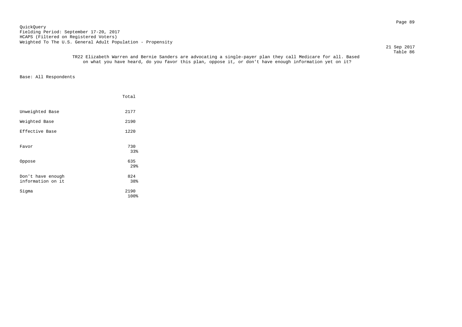Page 89 QuickQuery Fielding Period: September 17-20, 2017 HCAPS (Filtered on Registered Voters) Weighted To The U.S. General Adult Population - Propensity

21 Sep 2017

 Table 86 TR22 Elizabeth Warren and Bernie Sanders are advocating a single-payer plan they call Medicare for all. Based on what you have heard, do you favor this plan, oppose it, or don't have enough information yet on it?

|                                        | Total                  |
|----------------------------------------|------------------------|
| Unweighted Base                        | 2177                   |
| Weighted Base                          | 2190                   |
| Effective Base                         | 1220                   |
| Favor                                  | 730<br>33%             |
| Oppose                                 | 635<br>29 <sub>8</sub> |
| Don't have enough<br>information on it | 824<br>38%             |
| Sigma                                  | 2190<br>100%           |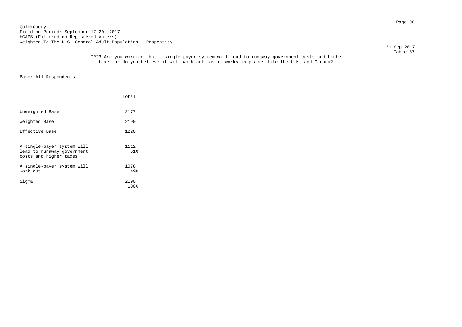Page 90 QuickQuery Fielding Period: September 17-20, 2017 HCAPS (Filtered on Registered Voters) Weighted To The U.S. General Adult Population - Propensity

21 Sep 2017

 Table 87 TR23 Are you worried that a single-payer system will lead to runaway government costs and higher taxes or do you believe it will work out, as it works in places like the U.K. and Canada?

|                                                                                    | Total        |
|------------------------------------------------------------------------------------|--------------|
| Unweighted Base                                                                    | 2177         |
| Weighted Base                                                                      | 2190         |
| Effective Base                                                                     | 1220         |
| A single-payer system will<br>lead to runaway government<br>costs and higher taxes | 1112<br>51%  |
| A single-payer system will<br>work out                                             | 1078<br>49%  |
| Sigma                                                                              | 2190<br>100% |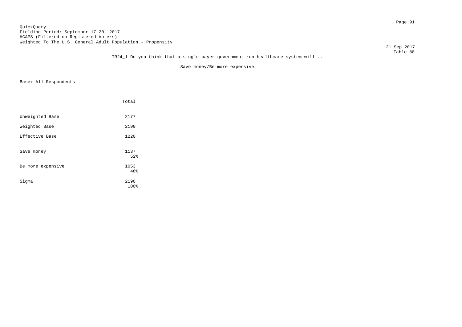### Page 91 QuickQuery Fielding Period: September 17-20, 2017 HCAPS (Filtered on Registered Voters) Weighted To The U.S. General Adult Population - Propensity

21 Sep 2017

#### Table 88 TR24\_1 Do you think that a single-payer government run healthcare system will...

Save money/Be more expensive

|                   | Total        |
|-------------------|--------------|
| Unweighted Base   | 2177         |
| Weighted Base     | 2190         |
| Effective Base    | 1220         |
| Save money        | 1137<br>52%  |
| Be more expensive | 1053<br>48%  |
| Sigma             | 2190<br>100% |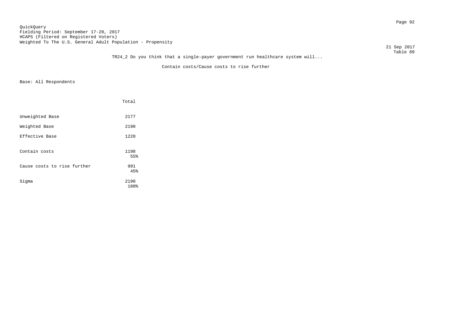### Page 92 QuickQuery Fielding Period: September 17-20, 2017 HCAPS (Filtered on Registered Voters) Weighted To The U.S. General Adult Population - Propensity

21 Sep 2017

#### Table 89 TR24\_2 Do you think that a single-payer government run healthcare system will...

Contain costs/Cause costs to rise further

|                             | Total        |
|-----------------------------|--------------|
| Unweighted Base             | 2177         |
| Weighted Base               | 2190         |
| Effective Base              | 1220         |
| Contain costs               | 1198<br>55%  |
| Cause costs to rise further | 991<br>45%   |
| Sigma                       | 2190<br>100% |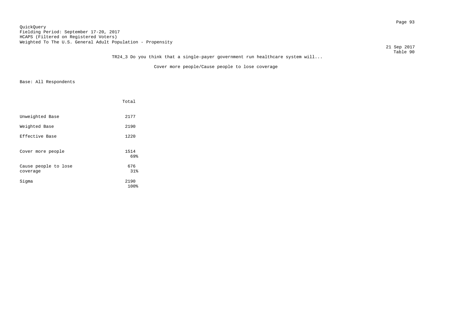### Page 93 QuickQuery Fielding Period: September 17-20, 2017 HCAPS (Filtered on Registered Voters) Weighted To The U.S. General Adult Population - Propensity

21 Sep 2017

#### Table 90 TR24\_3 Do you think that a single-payer government run healthcare system will...

Cover more people/Cause people to lose coverage

|                                  | Total        |  |
|----------------------------------|--------------|--|
| Unweighted Base                  | 2177         |  |
| Weighted Base                    | 2190         |  |
| Effective Base                   | 1220         |  |
| Cover more people                | 1514<br>69%  |  |
| Cause people to lose<br>coverage | 676<br>31%   |  |
| Sigma                            | 2190<br>100% |  |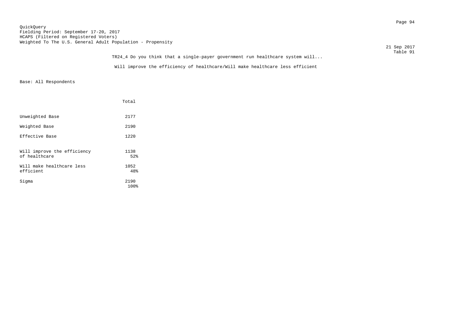### Page 94 QuickQuery Fielding Period: September 17-20, 2017 HCAPS (Filtered on Registered Voters) Weighted To The U.S. General Adult Population - Propensity

|                                                                               | 21 Sep 2017 |
|-------------------------------------------------------------------------------|-------------|
|                                                                               | Table 91    |
| TR24_4 Do you think that a single-payer government run healthcare system will |             |
| Will improve the efficiency of healthcare/Will make healthcare less efficient |             |

|                                              | Total        |  |
|----------------------------------------------|--------------|--|
| Unweighted Base                              | 2177         |  |
| Weighted Base                                | 2190         |  |
| Effective Base                               | 1220         |  |
| Will improve the efficiency<br>of healthcare | 1138<br>52%  |  |
| Will make healthcare less<br>efficient       | 1052<br>48%  |  |
| Sigma                                        | 2190<br>100% |  |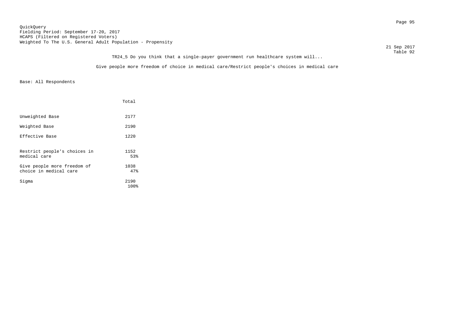Page 95 QuickQuery Fielding Period: September 17-20, 2017 HCAPS (Filtered on Registered Voters) Weighted To The U.S. General Adult Population - Propensity

 21 Sep 2017 Table 92

# TR24\_5 Do you think that a single-payer government run healthcare system will...

Give people more freedom of choice in medical care/Restrict people's choices in medical care

|                                                       | Total        |
|-------------------------------------------------------|--------------|
| Unweighted Base                                       | 2177         |
| Weighted Base                                         | 2190         |
| Effective Base                                        | 1220         |
| Restrict people's choices in<br>medical care          | 1152<br>53%  |
| Give people more freedom of<br>choice in medical care | 1038<br>47%  |
| Sigma                                                 | 2190<br>100% |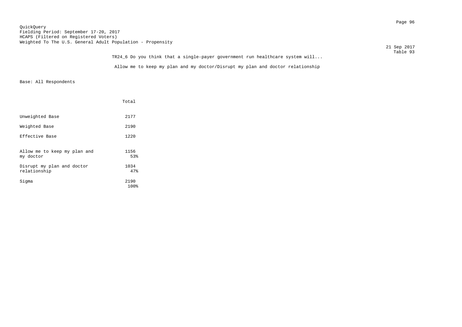### Page 96 QuickQuery Fielding Period: September 17-20, 2017 HCAPS (Filtered on Registered Voters) Weighted To The U.S. General Adult Population - Propensity

| 21 Sep 2017 |
|-------------|
| Table 93    |

| TR24_6 Do you think that a single-payer government run healthcare system will  | Table 93 |
|--------------------------------------------------------------------------------|----------|
| Allow me to keep my plan and my doctor/Disrupt my plan and doctor relationship |          |

|                                            | Total        |
|--------------------------------------------|--------------|
| Unweighted Base                            | 2177         |
| Weighted Base                              | 2190         |
| Effective Base                             | 1220         |
| Allow me to keep my plan and<br>my doctor  | 1156<br>53%  |
| Disrupt my plan and doctor<br>relationship | 1034<br>47%  |
| Sigma                                      | 2190<br>100% |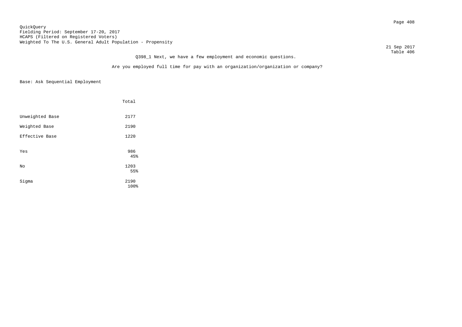### Page 408 QuickQuery Fielding Period: September 17-20, 2017 HCAPS (Filtered on Registered Voters) Weighted To The U.S. General Adult Population - Propensity

 21 Sep 2017 Table 406

# Are you employed full time for pay with an organization/organization or company?

Q398\_1 Next, we have a few employment and economic questions.

|                 | Total        |
|-----------------|--------------|
| Unweighted Base | 2177         |
| Weighted Base   | 2190         |
| Effective Base  | 1220         |
| Yes             | 986<br>45%   |
| No              | 1203<br>55%  |
| Sigma           | 2190<br>100% |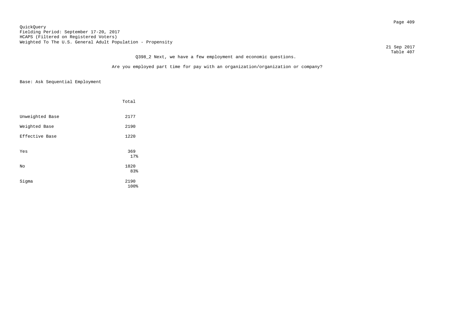### Page 409 QuickQuery Fielding Period: September 17-20, 2017 HCAPS (Filtered on Registered Voters) Weighted To The U.S. General Adult Population - Propensity

 21 Sep 2017 Table 407

# Q398\_2 Next, we have a few employment and economic questions.

Are you employed part time for pay with an organization/organization or company?

|                 | Total        |
|-----------------|--------------|
| Unweighted Base | 2177         |
| Weighted Base   | 2190         |
| Effective Base  | 1220         |
| Yes             | 369<br>17%   |
| No              | 1820<br>83%  |
| Sigma           | 2190<br>100% |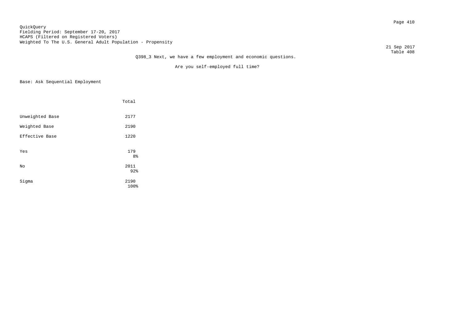### Page 410 QuickQuery Fielding Period: September 17-20, 2017 HCAPS (Filtered on Registered Voters) Weighted To The U.S. General Adult Population - Propensity

21 Sep 2017

#### Table 408 Q398\_3 Next, we have a few employment and economic questions.

Are you self-employed full time?

|                 | Total                 |
|-----------------|-----------------------|
| Unweighted Base | 2177                  |
| Weighted Base   | 2190                  |
| Effective Base  | 1220                  |
| Yes             | 179<br>8 <sup>°</sup> |
| No              | 2011<br>92%           |
| Sigma           | 2190<br>100%          |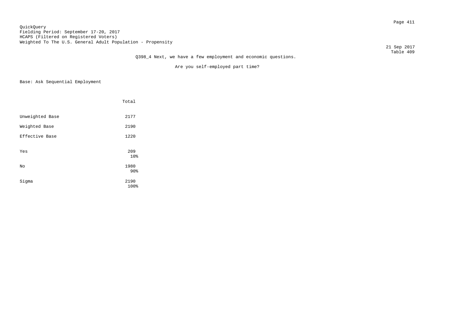### Page 411 QuickQuery Fielding Period: September 17-20, 2017 HCAPS (Filtered on Registered Voters) Weighted To The U.S. General Adult Population - Propensity

21 Sep 2017

#### Table 409 Q398\_4 Next, we have a few employment and economic questions.

Are you self-employed part time?

|                 | Total                           |
|-----------------|---------------------------------|
| Unweighted Base | 2177                            |
| Weighted Base   | 2190                            |
| Effective Base  | 1220                            |
| Yes             | 209<br>10%                      |
| No              | 1980                            |
| Sigma           | 90 <sup>8</sup><br>2190<br>100% |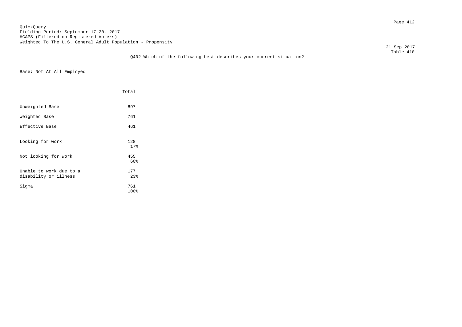Page 412 QuickQuery Fielding Period: September 17-20, 2017 HCAPS (Filtered on Registered Voters) Weighted To The U.S. General Adult Population - Propensity

21 Sep 2017

### Table 410 Q402 Which of the following best describes your current situation?

Base: Not At All Employed

|                                                  | Total       |  |
|--------------------------------------------------|-------------|--|
| Unweighted Base                                  | 897         |  |
| Weighted Base                                    | 761         |  |
| Effective Base                                   | 461         |  |
| Looking for work                                 | 128<br>17%  |  |
| Not looking for work                             | 455<br>60%  |  |
| Unable to work due to a<br>disability or illness | 177<br>23%  |  |
| Sigma                                            | 761<br>100% |  |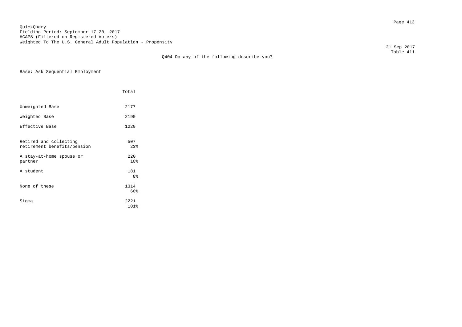Page 413 QuickQuery Fielding Period: September 17-20, 2017 HCAPS (Filtered on Registered Voters) Weighted To The U.S. General Adult Population - Propensity

 21 Sep 2017 Table 411

Q404 Do any of the following describe you?

Base: Ask Sequential Employment

|                                                       | Total                 |
|-------------------------------------------------------|-----------------------|
| Unweighted Base                                       | 2177                  |
| Weighted Base                                         | 2190                  |
| Effective Base                                        | 1220                  |
| Retired and collecting<br>retirement benefits/pension | 507<br>23%            |
| A stay-at-home spouse or<br>partner                   | 220<br>10%            |
| A student                                             | 181<br>8 <sup>°</sup> |
| None of these                                         | 1314<br>60%           |
| Sigma                                                 | 2221<br>101%          |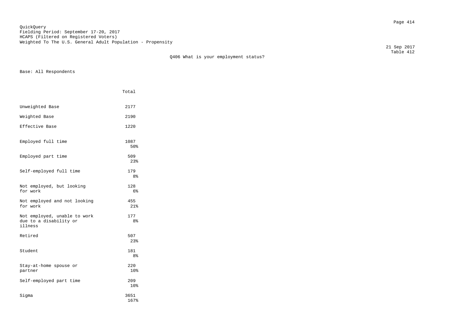Page 414 QuickQuery Fielding Period: September 17-20, 2017 HCAPS (Filtered on Registered Voters) Weighted To The U.S. General Adult Population - Propensity

 Table 412 Q406 What is your employment status?

Base: All Respondents

|                                                                   | Total        |
|-------------------------------------------------------------------|--------------|
| Unweighted Base                                                   | 2177         |
| Weighted Base                                                     | 2190         |
| Effective Base                                                    | 1220         |
| Employed full time                                                | 1087<br>50%  |
| Employed part time                                                | 509<br>23%   |
| Self-employed full time                                           | 179<br>8%    |
| Not employed, but looking<br>for work                             | 128<br>6%    |
| Not employed and not looking<br>for work                          | 455<br>21%   |
| Not employed, unable to work<br>due to a disability or<br>illness | 177<br>8%    |
| Retired                                                           | 507<br>23%   |
| Student                                                           | 181<br>8%    |
| Stay-at-home spouse or<br>partner                                 | 220<br>10%   |
| Self-employed part time                                           | 209<br>10%   |
| Sigma                                                             | 3651<br>167% |

21 Sep 2017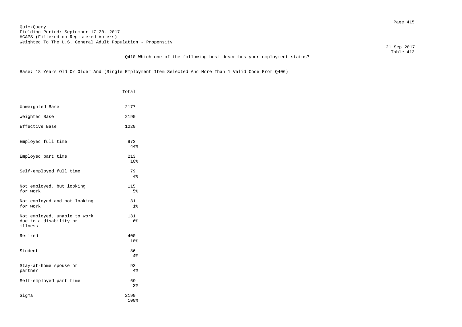Page 415 QuickQuery Fielding Period: September 17-20, 2017 HCAPS (Filtered on Registered Voters) Weighted To The U.S. General Adult Population - Propensity

21 Sep 2017

### Table 413 Q410 Which one of the following best describes your employment status?

Base: 18 Years Old Or Older And (Single Employment Item Selected And More Than 1 Valid Code From Q406)

|                                                                   | Total                 |
|-------------------------------------------------------------------|-----------------------|
| Unweighted Base                                                   | 2177                  |
| Weighted Base                                                     | 2190                  |
| Effective Base                                                    | 1220                  |
| Employed full time                                                | 973<br>44%            |
| Employed part time                                                | 213<br>10%            |
| Self-employed full time                                           | 79<br>4%              |
| Not employed, but looking<br>for work                             | 115<br>5 <sup>°</sup> |
| Not employed and not looking<br>for work                          | 31<br>1 <sup>°</sup>  |
| Not employed, unable to work<br>due to a disability or<br>illness | 131<br>6%             |
| Retired                                                           | 400<br>18%            |
| Student                                                           | 86<br>4%              |
| Stay-at-home spouse or<br>partner                                 | 93<br>4%              |
| Self-employed part time                                           | 69<br>3%              |
| Sigma                                                             | 2190<br>100%          |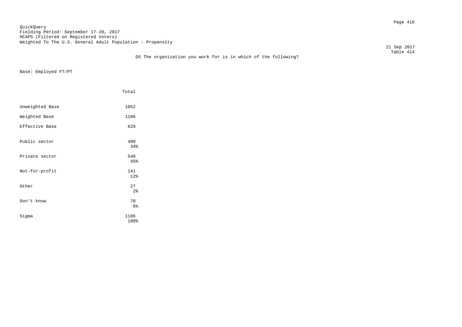Page 416 QuickQuery Fielding Period: September 17-20, 2017 HCAPS (Filtered on Registered Voters) Weighted To The U.S. General Adult Population - Propensity

21 Sep 2017

### Table 414 D5 The organization you work for is in which of the following?

Base: Employed FT/PT

|                 | Total                |
|-----------------|----------------------|
| Unweighted Base | 1052                 |
| Weighted Base   | 1186                 |
| Effective Base  | 629                  |
| Public sector   | 408<br>34%           |
| Private sector  | 540<br>45%           |
| Not-for-profit  | 141<br>12%           |
| Other           | 27<br>2 <sup>8</sup> |
| Don't know      | 70<br>$6\%$          |
| Sigma           | 1186<br>100%         |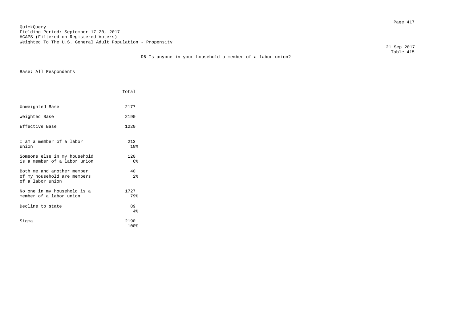Page 417 QuickQuery Fielding Period: September 17-20, 2017 HCAPS (Filtered on Registered Voters) Weighted To The U.S. General Adult Population - Propensity

 21 Sep 2017 Table 415

# D6 Is anyone in your household a member of a labor union?

|                                                                               | Total                 |
|-------------------------------------------------------------------------------|-----------------------|
| Unweighted Base                                                               | 2177                  |
| Weighted Base                                                                 | 2190                  |
| Effective Base                                                                | 1220                  |
| I am a member of a labor<br>union                                             | 213<br>10%            |
| Someone else in my household<br>is a member of a labor union                  | 120<br>6 <sup>°</sup> |
| Both me and another member<br>of my household are members<br>of a labor union | 40<br>2 <sup>°</sup>  |
| No one in my household is a<br>member of a labor union                        | 1727<br>79%           |
| Decline to state                                                              | 89<br>4%              |
| Siqma                                                                         | 2190<br>100%          |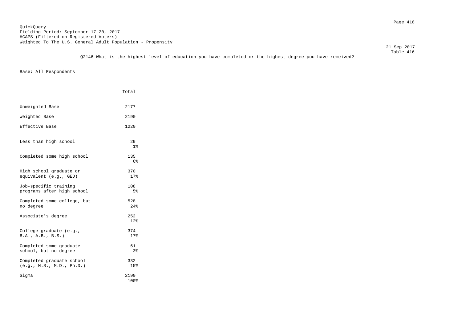Table 416 Q2146 What is the highest level of education you have completed or the highest degree you have received?

|                                                        | Total                 |
|--------------------------------------------------------|-----------------------|
| Unweighted Base                                        | 2177                  |
| Weighted Base                                          | 2190                  |
| Effective Base                                         | 1220                  |
| Less than high school                                  | 29<br>1 <sup>°</sup>  |
| Completed some high school                             | 135<br>6 <sup>°</sup> |
| High school graduate or<br>equivalent (e.g., GED)      | 370<br>17%            |
| Job-specific training<br>programs after high school    | 108<br>5%             |
| Completed some college, but<br>no degree               | 528<br>24%            |
| Associate's degree                                     | 252<br>12%            |
| College graduate (e.g.,<br>B.A., A.B., B.S.)           | 374<br>17%            |
| Completed some graduate<br>school, but no degree       | 61<br>3%              |
| Completed graduate school<br>(e.g., M.S., M.D., Ph.D.) | 332<br>15%            |
| Sigma                                                  | 2190<br>100%          |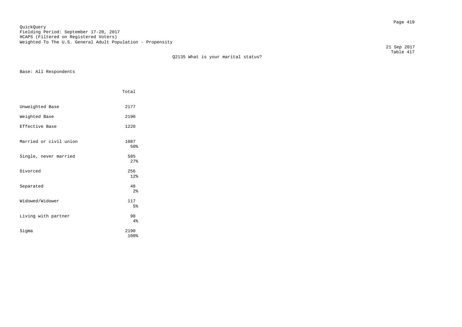Page 419 QuickQuery Fielding Period: September 17-20, 2017 HCAPS (Filtered on Registered Voters) Weighted To The U.S. General Adult Population - Propensity

 Table 417 Q2135 What is your marital status?

Base: All Respondents

|                        | Total                 |  |
|------------------------|-----------------------|--|
| Unweighted Base        | 2177                  |  |
| Weighted Base          | 2190                  |  |
| Effective Base         | 1220                  |  |
| Married or civil union | 1087<br>50%           |  |
| Single, never married  | 585<br>27%            |  |
| Divorced               | 256<br>12%            |  |
| Separated              | 48<br>2 <sup>8</sup>  |  |
| Widowed/Widower        | 117<br>5 <sup>°</sup> |  |
| Living with partner    | 98<br>4%              |  |
| Sigma                  | 2190<br>100%          |  |

21 Sep 2017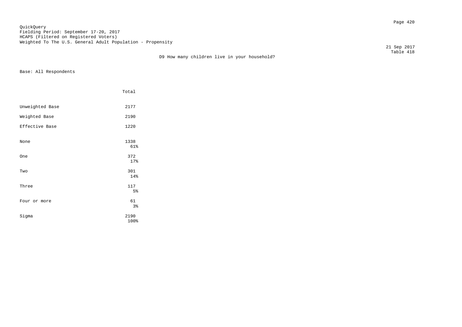Page 420 QuickQuery Fielding Period: September 17-20, 2017 HCAPS (Filtered on Registered Voters) Weighted To The U.S. General Adult Population - Propensity

D9 How many children live in your household?

 21 Sep 2017 Table 418

|                 | Total        |
|-----------------|--------------|
| Unweighted Base | 2177         |
| Weighted Base   | 2190         |
| Effective Base  | 1220         |
| None            | 1338<br>61%  |
| One             | 372<br>17%   |
| Two             | 301<br>14%   |
| Three           | 117<br>5%    |
| Four or more    | 61<br>3%     |
| Sigma           | 2190<br>100% |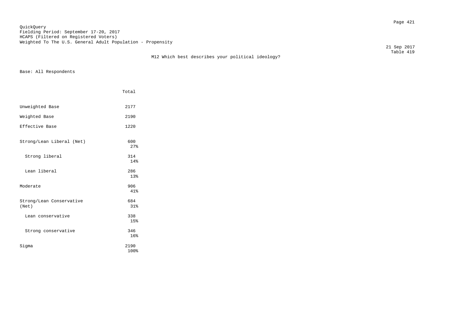Page 421 QuickQuery Fielding Period: September 17-20, 2017 HCAPS (Filtered on Registered Voters) Weighted To The U.S. General Adult Population - Propensity

M12 Which best describes your political ideology?

 21 Sep 2017 Table 419

|                                   | Total        |
|-----------------------------------|--------------|
| Unweighted Base                   | 2177         |
| Weighted Base                     | 2190         |
| Effective Base                    | 1220         |
| Strong/Lean Liberal (Net)         | 600<br>27%   |
| Strong liberal                    | 314<br>14%   |
| Lean liberal                      | 286<br>13%   |
| Moderate                          | 906<br>41%   |
| Strong/Lean Conservative<br>(Net) | 684<br>31%   |
| Lean conservative                 | 338<br>15%   |
| Strong conservative               | 346<br>16%   |
| Siqma                             | 2190<br>100% |
|                                   |              |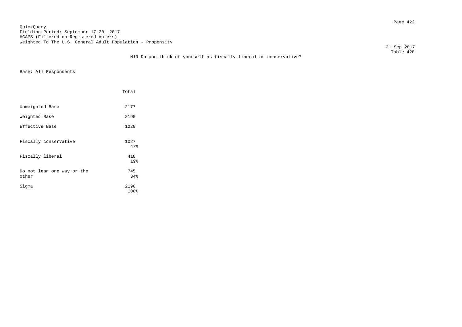Page 422 QuickQuery Fielding Period: September 17-20, 2017 HCAPS (Filtered on Registered Voters) Weighted To The U.S. General Adult Population - Propensity

21 Sep 2017

### Table 420 M13 Do you think of yourself as fiscally liberal or conservative?

|                                     | Total        |
|-------------------------------------|--------------|
| Unweighted Base                     | 2177         |
| Weighted Base                       | 2190         |
| Effective Base                      | 1220         |
| Fiscally conservative               | 1027<br>47%  |
| Fiscally liberal                    | 418<br>19%   |
| Do not lean one way or the<br>other | 745<br>34%   |
| Sigma                               | 2190<br>100% |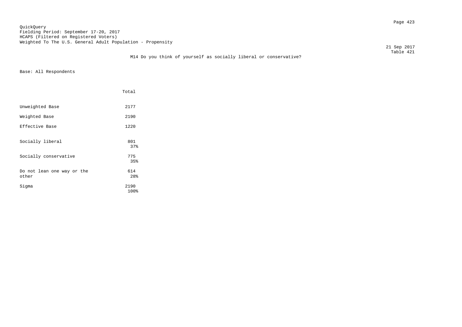Page 423 QuickQuery Fielding Period: September 17-20, 2017 HCAPS (Filtered on Registered Voters) Weighted To The U.S. General Adult Population - Propensity

21 Sep 2017

### Table 421 M14 Do you think of yourself as socially liberal or conservative?

|                                     | Total        |  |
|-------------------------------------|--------------|--|
| Unweighted Base                     | 2177         |  |
| Weighted Base                       | 2190         |  |
| Effective Base                      | 1220         |  |
| Socially liberal                    | 801<br>37%   |  |
| Socially conservative               | 775<br>35%   |  |
| Do not lean one way or the<br>other | 614<br>28%   |  |
| Sigma                               | 2190<br>100% |  |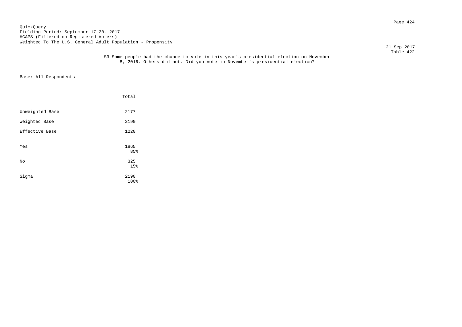Page 424 QuickQuery Fielding Period: September 17-20, 2017 HCAPS (Filtered on Registered Voters) Weighted To The U.S. General Adult Population - Propensity

21 Sep 2017

#### Table 422 S3 Some people had the chance to vote in this year's presidential election on November 8, 2016. Others did not. Did you vote in November's presidential election?

|                 | Total        |
|-----------------|--------------|
| Unweighted Base | 2177         |
| Weighted Base   | 2190         |
| Effective Base  | 1220         |
| Yes             | 1865<br>85%  |
| No              | 325<br>15%   |
| Sigma           | 2190<br>100% |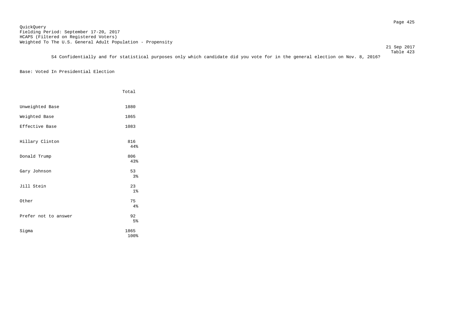21 Sep 2017

 Table 423 S4 Confidentially and for statistical purposes only which candidate did you vote for in the general election on Nov. 8, 2016?

# Base: Voted In Presidential Election

|                      | Total                |
|----------------------|----------------------|
| Unweighted Base      | 1880                 |
| Weighted Base        | 1865                 |
| Effective Base       | 1083                 |
| Hillary Clinton      | 816<br>44%           |
| Donald Trump         | 806<br>43%           |
| Gary Johnson         | 53<br>3 <sup>°</sup> |
| Jill Stein           | 23<br>1 <sup>°</sup> |
| Other                | 75<br>4%             |
| Prefer not to answer | 92<br>5 <sup>°</sup> |
| Sigma                | 1865<br>100%         |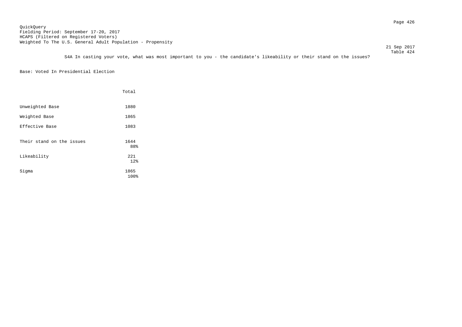21 Sep 2017

 Table 424 S4A In casting your vote, what was most important to you - the candidate's likeability or their stand on the issues?

Base: Voted In Presidential Election

|                           | Total        |
|---------------------------|--------------|
| Unweighted Base           | 1880         |
| Weighted Base             | 1865         |
| Effective Base            | 1083         |
| Their stand on the issues | 1644<br>88%  |
| Likeability               | 221<br>12%   |
| Sigma                     | 1865<br>100% |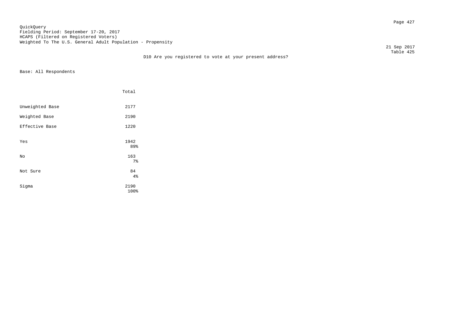Page 427 QuickQuery Fielding Period: September 17-20, 2017 HCAPS (Filtered on Registered Voters) Weighted To The U.S. General Adult Population - Propensity

D10 Are you registered to vote at your present address?

 21 Sep 2017 Table 425

|                 | Total             |
|-----------------|-------------------|
| Unweighted Base | 2177              |
| Weighted Base   | 2190              |
| Effective Base  | 1220              |
| Yes             | 1942<br>89%       |
| No              | 163               |
| Not Sure        | $7\,$<br>84<br>4% |
| Sigma           | 2190<br>100%      |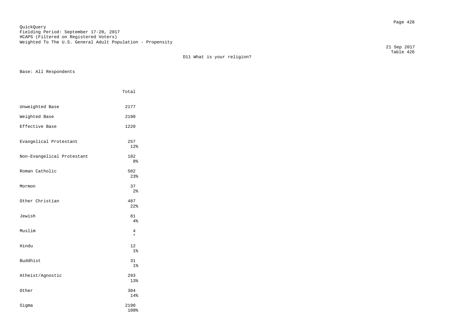Page 428 QuickQuery Fielding Period: September 17-20, 2017 HCAPS (Filtered on Registered Voters) Weighted To The U.S. General Adult Population - Propensity

 Table 426 D11 What is your religion?

Base: All Respondents

|                            | Total                 |
|----------------------------|-----------------------|
| Unweighted Base            | 2177                  |
| Weighted Base              | 2190                  |
| Effective Base             | 1220                  |
| Evangelical Protestant     | 257<br>12%            |
| Non-Evangelical Protestant | 182<br>8 <sup>°</sup> |
| Roman Catholic             | 502<br>23%            |
| Mormon                     | 37<br>$2\,$           |
| Other Christian            | 487<br>22%            |
| Jewish                     | 81<br>4%              |
| Muslim                     | 4<br>$\star$          |
| Hindu                      | 12<br>$1\%$           |
| <b>Buddhist</b>            | 31<br>1 <sup>°</sup>  |
| Atheist/Agnostic           | 293<br>13%            |
| Other                      | 304<br>14%            |
| Sigma                      | 2190<br>100%          |

21 Sep 2017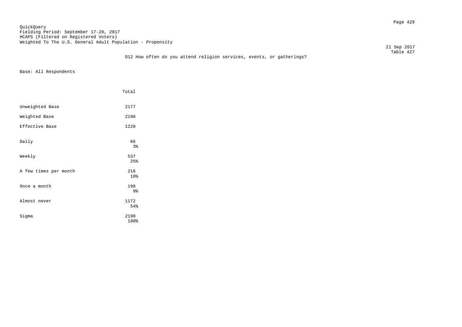Page 429 QuickQuery Fielding Period: September 17-20, 2017 HCAPS (Filtered on Registered Voters) Weighted To The U.S. General Adult Population - Propensity

21 Sep 2017

### Table 427 D12 How often do you attend religion services, events, or gatherings?

| Total        |  |
|--------------|--|
| 2177         |  |
| 2190         |  |
| 1220         |  |
| 66<br>3%     |  |
| 537<br>25%   |  |
| 216<br>10%   |  |
| 198<br>9%    |  |
| 1172<br>54%  |  |
| 2190<br>100% |  |
|              |  |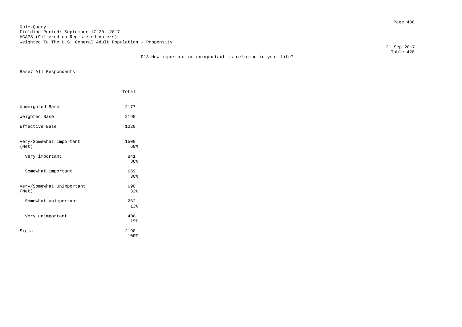Page 430 QuickQuery Fielding Period: September 17-20, 2017 HCAPS (Filtered on Registered Voters) Weighted To The U.S. General Adult Population - Propensity

21 Sep 2017

### Table 428 D13 How important or unimportant is religion in your life?

|                                    | Total        |
|------------------------------------|--------------|
| Unweighted Base                    | 2177         |
| Weighted Base                      | 2190         |
| Effective Base                     | 1220         |
| Very/Somewhat Important<br>(Net)   | 1500<br>68%  |
| Very important                     | 841<br>38%   |
| Somewhat important                 | 659<br>30%   |
| Very/Somewhat Unimportant<br>(Net) | 690<br>32%   |
| Somewhat unimportant               | 282<br>13%   |
| Very unimportant                   | 408<br>19%   |
| Sigma                              | 2190<br>100% |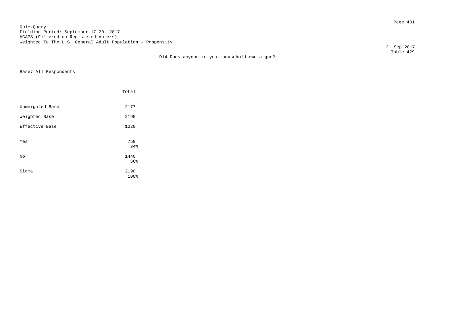Page 431 QuickQuery Fielding Period: September 17-20, 2017 HCAPS (Filtered on Registered Voters) Weighted To The U.S. General Adult Population - Propensity

 21 Sep 2017 Table 429

D14 Does anyone in your household own a gun?

|                 | Total        |  |
|-----------------|--------------|--|
| Unweighted Base | 2177         |  |
| Weighted Base   | 2190         |  |
| Effective Base  | 1220         |  |
| Yes             | 750<br>34%   |  |
| No              | 1440<br>66%  |  |
| Sigma           | 2190<br>100% |  |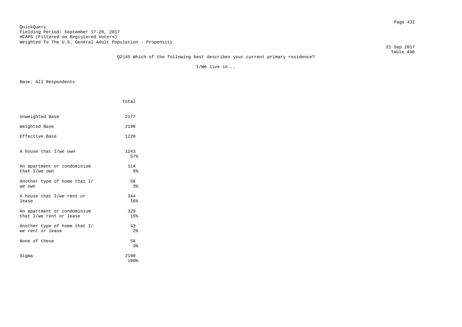## Page 432 QuickQuery Fielding Period: September 17-20, 2017 HCAPS (Filtered on Registered Voters) Weighted To The U.S. General Adult Population - Propensity

21 Sep 2017

### Table 430 Q2145 Which of the following best describes your current primary residence?

I/We live in...

|                                                        | Total                 |
|--------------------------------------------------------|-----------------------|
| Unweighted Base                                        | 2177                  |
| Weighted Base                                          | 2190                  |
| Effective Base                                         | 1220                  |
| A house that I/we own                                  | 1243<br>57%           |
| An apartment or condominium<br>that I/we own           | 114<br>5 <sup>°</sup> |
| Another type of home that I/<br>we own                 | 58<br>3 <sup>8</sup>  |
| A house that I/we rent or<br>lease                     | 344<br>16%            |
| An apartment or condominium<br>that I/we rent or lease | 329<br>15%            |
| Another type of home that I/<br>we rent or lease       | 43<br>2 <sup>8</sup>  |
| None of these                                          | 58<br>3 <sup>°</sup>  |
| Sigma                                                  | 2190<br>100%          |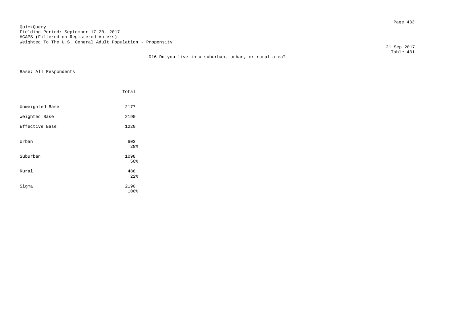Page 433 QuickQuery Fielding Period: September 17-20, 2017 HCAPS (Filtered on Registered Voters) Weighted To The U.S. General Adult Population - Propensity

21 Sep 2017

|                 | Total                  |
|-----------------|------------------------|
| Unweighted Base | 2177                   |
| Weighted Base   | 2190                   |
| Effective Base  | 1220                   |
| Urban           | 603<br>28%             |
| Suburban        | 1098<br>50%            |
| Rural           | 488<br>22 <sub>8</sub> |
| Sigma           | 2190<br>100%           |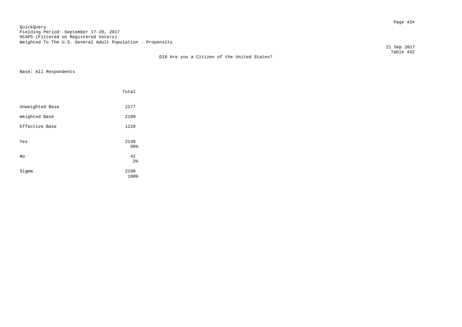Page 434 QuickQuery Fielding Period: September 17-20, 2017 HCAPS (Filtered on Registered Voters) Weighted To The U.S. General Adult Population - Propensity

 21 Sep 2017 Table 432

D18 Are you a Citizen of the United States?

|                 | Total                |  |
|-----------------|----------------------|--|
| Unweighted Base | 2177                 |  |
| Weighted Base   | 2190                 |  |
| Effective Base  | 1220                 |  |
| Yes             | 2148<br>98%          |  |
| No              | 42<br>2 <sup>8</sup> |  |
| Sigma           | 2190<br>100%         |  |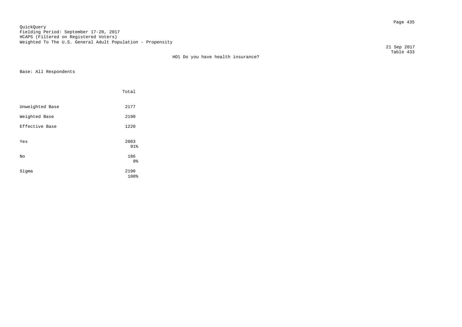Page 435 QuickQuery Fielding Period: September 17-20, 2017 HCAPS (Filtered on Registered Voters) Weighted To The U.S. General Adult Population - Propensity

 Table 433 HO1 Do you have health insurance?

Base: All Respondents

|                 | Total        |
|-----------------|--------------|
| Unweighted Base | 2177         |
| Weighted Base   | 2190         |
| Effective Base  | 1220         |
| Yes             | 2003<br>91%  |
| No              | 186<br>9%    |
| Sigma           | 2190<br>100% |

21 Sep 2017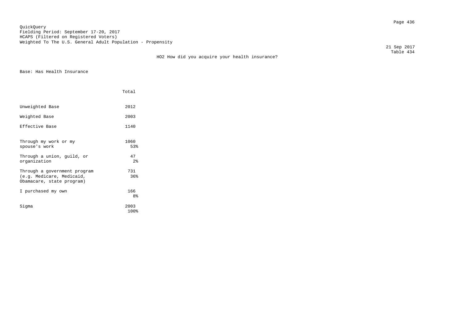Page 436 QuickQuery Fielding Period: September 17-20, 2017 HCAPS (Filtered on Registered Voters) Weighted To The U.S. General Adult Population - Propensity

 21 Sep 2017 Table 434

HO2 How did you acquire your health insurance?

Base: Has Health Insurance

|                                                                                        | Total                               |
|----------------------------------------------------------------------------------------|-------------------------------------|
| Unweighted Base                                                                        | 2012                                |
| Weighted Base                                                                          | 2003                                |
| Effective Base                                                                         | 1140                                |
| Through my work or my<br>spouse's work<br>Through a union, guild, or<br>organization   | 1060<br>53%<br>47<br>2 <sub>8</sub> |
| Through a government program<br>(e.g. Medicare, Medicaid,<br>Obamacare, state program) | 731<br>36%                          |
| I purchased my own                                                                     | 166<br>8 <sup>°</sup>               |
| Siqma                                                                                  | 2003<br>100%                        |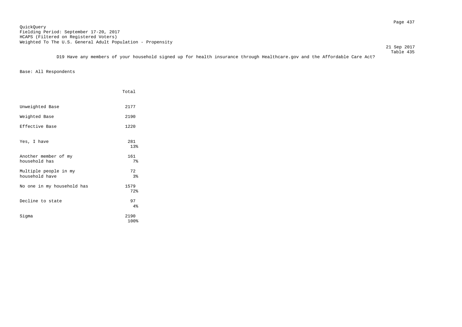Page 437 QuickQuery Fielding Period: September 17-20, 2017 HCAPS (Filtered on Registered Voters) Weighted To The U.S. General Adult Population - Propensity

21 Sep 2017

 Table 435 D19 Have any members of your household signed up for health insurance through Healthcare.gov and the Affordable Care Act?

|                                         | Total        |
|-----------------------------------------|--------------|
| Unweighted Base                         | 2177         |
| Weighted Base                           | 2190         |
| Effective Base                          | 1220         |
| Yes, I have                             | 281<br>13%   |
| Another member of my<br>household has   | 161<br>$7\%$ |
| Multiple people in my<br>household have | 72<br>$3\,$  |
| No one in my household has              | 1579<br>72%  |
| Decline to state                        | 97<br>4%     |
| Sigma                                   | 2190<br>100% |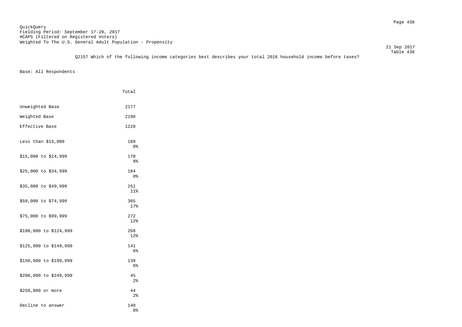Table 436 Q2157 Which of the following income categories best describes your total 2016 household income before taxes?

|                        | Total                 |
|------------------------|-----------------------|
| Unweighted Base        | 2177                  |
| Weighted Base          | 2190                  |
| Effective Base         | 1220                  |
| Less than $$15,000$    | 169<br>8%             |
| \$15,000 to \$24,999   | 170<br>8%             |
| \$25,000 to \$34,999   | 184<br>8%             |
| \$35,000 to \$49,999   | 251<br>$11$ %         |
| \$50,000 to \$74,999   | 365<br>17%            |
| \$75,000 to \$99,999   | 272<br>12%            |
| \$100,000 to \$124,999 | 268<br>$12$ $%$       |
| \$125,000 to \$149,999 | 141<br>6 <sup>°</sup> |
| \$150,000 to \$199,999 | 139<br>6 <sup>°</sup> |
| \$200,000 to \$249,999 | 45<br>2 <sup>°</sup>  |
| \$250,000 or more      | 44<br>2 <sup>°</sup>  |
| Decline to answer      | 140<br>6%             |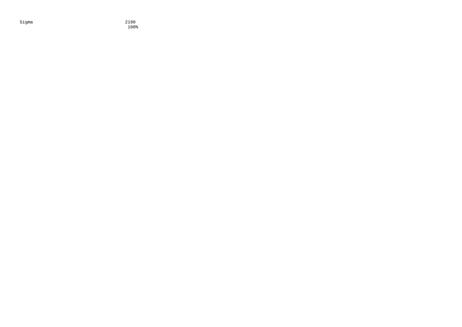Sigma 2190

100%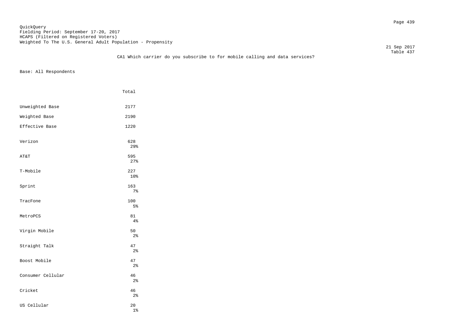## Page 439 QuickQuery Fielding Period: September 17-20, 2017 HCAPS (Filtered on Registered Voters) Weighted To The U.S. General Adult Population - Propensity

21 Sep 2017

### Table 437 CA1 Which carrier do you subscribe to for mobile calling and data services?

|                   | Total                |  |
|-------------------|----------------------|--|
| Unweighted Base   | 2177                 |  |
| Weighted Base     | 2190                 |  |
| Effective Base    | 1220                 |  |
| Verizon           | 628<br>29%           |  |
| AT&T              | 595<br>27%           |  |
| T-Mobile          | 227<br>10%           |  |
| Sprint            | 163<br>7%            |  |
| TracFone          | 100<br>5%            |  |
| MetroPCS          | 81<br>4%             |  |
| Virgin Mobile     | 50<br>2 <sup>°</sup> |  |
| Straight Talk     | 47<br>2 <sup>°</sup> |  |
| Boost Mobile      | 47<br>2 <sup>°</sup> |  |
| Consumer Cellular | 46<br>$2\,$          |  |
| Cricket           | 46<br>$2\,$          |  |
| US Cellular       | 20<br>$1\%$          |  |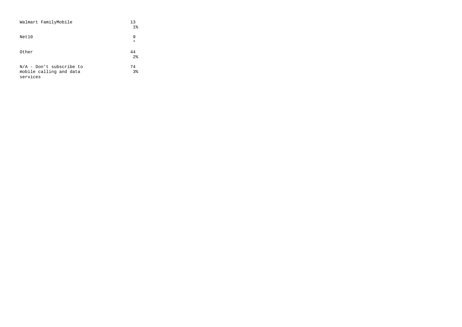| Walmart FamilyMobile                                              | 13<br>$1\%$          |
|-------------------------------------------------------------------|----------------------|
| Net10                                                             | 9<br>$\star$         |
| Other                                                             | 44<br>2 <sup>°</sup> |
| $N/A$ - Don't subscribe to<br>mobile calling and data<br>services | 74<br>$3\,$          |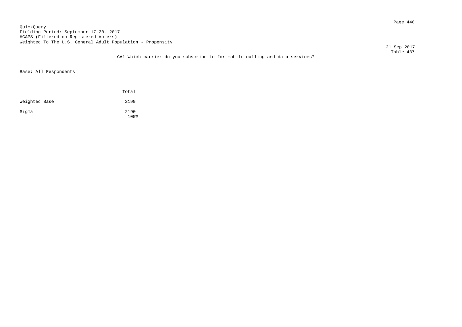Page 440 QuickQuery Fielding Period: September 17-20, 2017 HCAPS (Filtered on Registered Voters) Weighted To The U.S. General Adult Population - Propensity

21 Sep 2017

### Table 437 CA1 Which carrier do you subscribe to for mobile calling and data services?

|               | Total        |
|---------------|--------------|
| Weighted Base | 2190         |
| Sigma         | 2190<br>100% |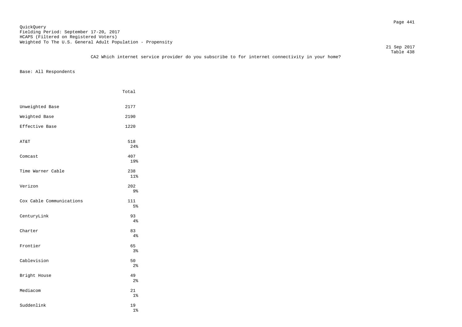Page 441 QuickQuery Fielding Period: September 17-20, 2017 HCAPS (Filtered on Registered Voters) Weighted To The U.S. General Adult Population - Propensity

 21 Sep 2017 Table 438

|                          | Total                |
|--------------------------|----------------------|
| Unweighted Base          | 2177                 |
| Weighted Base            | 2190                 |
| Effective Base           | 1220                 |
| AT&T                     | 518<br>24%           |
| Comcast                  | 407<br>19%           |
| Time Warner Cable        | 238<br>11%           |
| Verizon                  | 202<br>9%            |
| Cox Cable Communications | 111<br>5%            |
| CenturyLink              | 93<br>4%             |
| Charter                  | 83<br>4%             |
| Frontier                 | 65<br>3%             |
| Cablevision              | 50<br>2 <sup>°</sup> |
| Bright House             | 49<br>2 <sup>°</sup> |
| Mediacom                 | 21<br>$1\%$          |
| Suddenlink               | 19<br>$1\%$          |